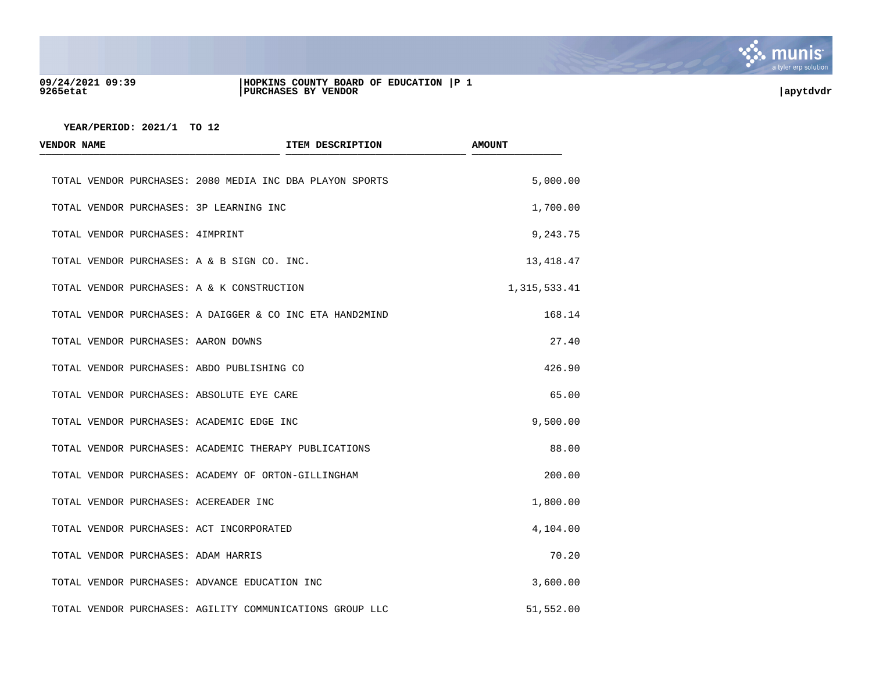

#### **09/24/2021 09:39 |HOPKINS COUNTY BOARD OF EDUCATION |P 1 9265etat |PURCHASES BY VENDOR |apytdvdr**

| <b>VENDOR NAME</b>                            | ITEM DESCRIPTION                                         | <b>AMOUNT</b> |
|-----------------------------------------------|----------------------------------------------------------|---------------|
|                                               | TOTAL VENDOR PURCHASES: 2080 MEDIA INC DBA PLAYON SPORTS | 5,000.00      |
| TOTAL VENDOR PURCHASES: 3P LEARNING INC       |                                                          | 1,700.00      |
| TOTAL VENDOR PURCHASES: 4IMPRINT              |                                                          | 9,243.75      |
| TOTAL VENDOR PURCHASES: A & B SIGN CO. INC.   |                                                          | 13,418.47     |
| TOTAL VENDOR PURCHASES: A & K CONSTRUCTION    |                                                          | 1,315,533.41  |
|                                               | TOTAL VENDOR PURCHASES: A DAIGGER & CO INC ETA HAND2MIND | 168.14        |
| TOTAL VENDOR PURCHASES: AARON DOWNS           |                                                          | 27.40         |
| TOTAL VENDOR PURCHASES: ABDO PUBLISHING CO    |                                                          | 426.90        |
| TOTAL VENDOR PURCHASES: ABSOLUTE EYE CARE     |                                                          | 65.00         |
| TOTAL VENDOR PURCHASES: ACADEMIC EDGE INC     |                                                          | 9,500.00      |
|                                               | TOTAL VENDOR PURCHASES: ACADEMIC THERAPY PUBLICATIONS    | 88.00         |
|                                               | TOTAL VENDOR PURCHASES: ACADEMY OF ORTON-GILLINGHAM      | 200.00        |
| TOTAL VENDOR PURCHASES: ACEREADER INC         |                                                          | 1,800.00      |
| TOTAL VENDOR PURCHASES: ACT INCORPORATED      |                                                          | 4,104.00      |
| TOTAL VENDOR PURCHASES: ADAM HARRIS           |                                                          | 70.20         |
| TOTAL VENDOR PURCHASES: ADVANCE EDUCATION INC |                                                          | 3,600.00      |
|                                               | TOTAL VENDOR PURCHASES: AGILITY COMMUNICATIONS GROUP LLC | 51,552.00     |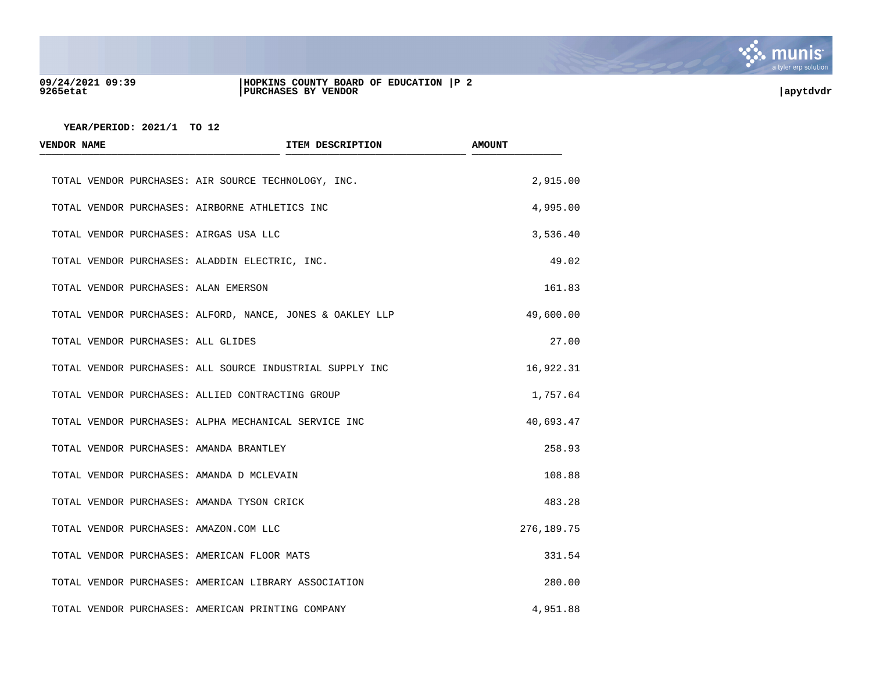

## **09/24/2021 09:39 |HOPKINS COUNTY BOARD OF EDUCATION |P 2 9265etat |PURCHASES BY VENDOR |apytdvdr**

| <b>VENDOR NAME</b>                 |                                                           | ITEM DESCRIPTION | <b>AMOUNT</b> |
|------------------------------------|-----------------------------------------------------------|------------------|---------------|
|                                    | TOTAL VENDOR PURCHASES: AIR SOURCE TECHNOLOGY, INC.       |                  | 2,915.00      |
|                                    | TOTAL VENDOR PURCHASES: AIRBORNE ATHLETICS INC            |                  | 4,995.00      |
|                                    | TOTAL VENDOR PURCHASES: AIRGAS USA LLC                    |                  | 3,536.40      |
|                                    | TOTAL VENDOR PURCHASES: ALADDIN ELECTRIC, INC.            |                  | 49.02         |
|                                    | TOTAL VENDOR PURCHASES: ALAN EMERSON                      |                  | 161.83        |
|                                    | TOTAL VENDOR PURCHASES: ALFORD, NANCE, JONES & OAKLEY LLP |                  | 49,600.00     |
| TOTAL VENDOR PURCHASES: ALL GLIDES |                                                           |                  | 27.00         |
|                                    | TOTAL VENDOR PURCHASES: ALL SOURCE INDUSTRIAL SUPPLY INC  |                  | 16,922.31     |
|                                    | TOTAL VENDOR PURCHASES: ALLIED CONTRACTING GROUP          |                  | 1,757.64      |
|                                    | TOTAL VENDOR PURCHASES: ALPHA MECHANICAL SERVICE INC      |                  | 40,693.47     |
|                                    | TOTAL VENDOR PURCHASES: AMANDA BRANTLEY                   |                  | 258.93        |
|                                    | TOTAL VENDOR PURCHASES: AMANDA D MCLEVAIN                 |                  | 108.88        |
|                                    | TOTAL VENDOR PURCHASES: AMANDA TYSON CRICK                |                  | 483.28        |
|                                    | TOTAL VENDOR PURCHASES: AMAZON.COM LLC                    |                  | 276, 189. 75  |
|                                    | TOTAL VENDOR PURCHASES: AMERICAN FLOOR MATS               |                  | 331.54        |
|                                    | TOTAL VENDOR PURCHASES: AMERICAN LIBRARY ASSOCIATION      |                  | 280.00        |
|                                    | TOTAL VENDOR PURCHASES: AMERICAN PRINTING COMPANY         |                  | 4,951.88      |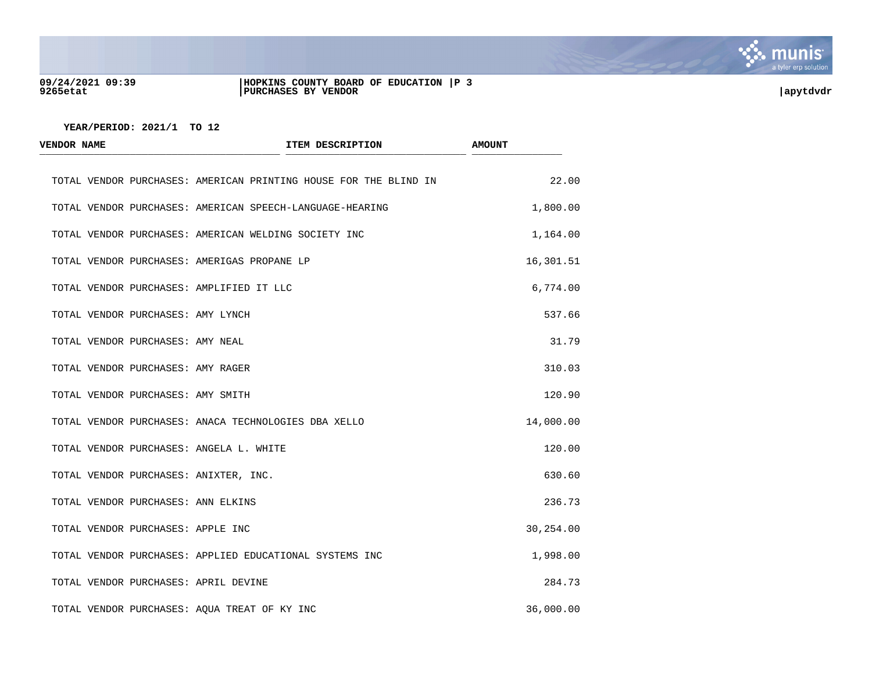

#### **09/24/2021 09:39 |HOPKINS COUNTY BOARD OF EDUCATION |P 3 9265etat |PURCHASES BY VENDOR |apytdvdr**



| <b>VENDOR NAME</b>                          | ITEM DESCRIPTION                                                 | <b>AMOUNT</b> |
|---------------------------------------------|------------------------------------------------------------------|---------------|
|                                             | TOTAL VENDOR PURCHASES: AMERICAN PRINTING HOUSE FOR THE BLIND IN | 22.00         |
|                                             | TOTAL VENDOR PURCHASES: AMERICAN SPEECH-LANGUAGE-HEARING         | 1,800.00      |
|                                             | TOTAL VENDOR PURCHASES: AMERICAN WELDING SOCIETY INC             | 1,164.00      |
| TOTAL VENDOR PURCHASES: AMERIGAS PROPANE LP |                                                                  | 16,301.51     |
| TOTAL VENDOR PURCHASES: AMPLIFIED IT LLC    |                                                                  | 6,774.00      |
| TOTAL VENDOR PURCHASES: AMY LYNCH           |                                                                  | 537.66        |
| TOTAL VENDOR PURCHASES: AMY NEAL            |                                                                  | 31.79         |
| TOTAL VENDOR PURCHASES: AMY RAGER           |                                                                  | 310.03        |
| TOTAL VENDOR PURCHASES: AMY SMITH           |                                                                  | 120.90        |
|                                             | TOTAL VENDOR PURCHASES: ANACA TECHNOLOGIES DBA XELLO             | 14,000.00     |
| TOTAL VENDOR PURCHASES: ANGELA L. WHITE     |                                                                  | 120.00        |
| TOTAL VENDOR PURCHASES: ANIXTER, INC.       |                                                                  | 630.60        |
| TOTAL VENDOR PURCHASES: ANN ELKINS          |                                                                  | 236.73        |
| TOTAL VENDOR PURCHASES: APPLE INC           |                                                                  | 30,254.00     |
|                                             | TOTAL VENDOR PURCHASES: APPLIED EDUCATIONAL SYSTEMS INC          | 1,998.00      |
| TOTAL VENDOR PURCHASES: APRIL DEVINE        |                                                                  | 284.73        |
|                                             | TOTAL VENDOR PURCHASES: AQUA TREAT OF KY INC                     | 36,000.00     |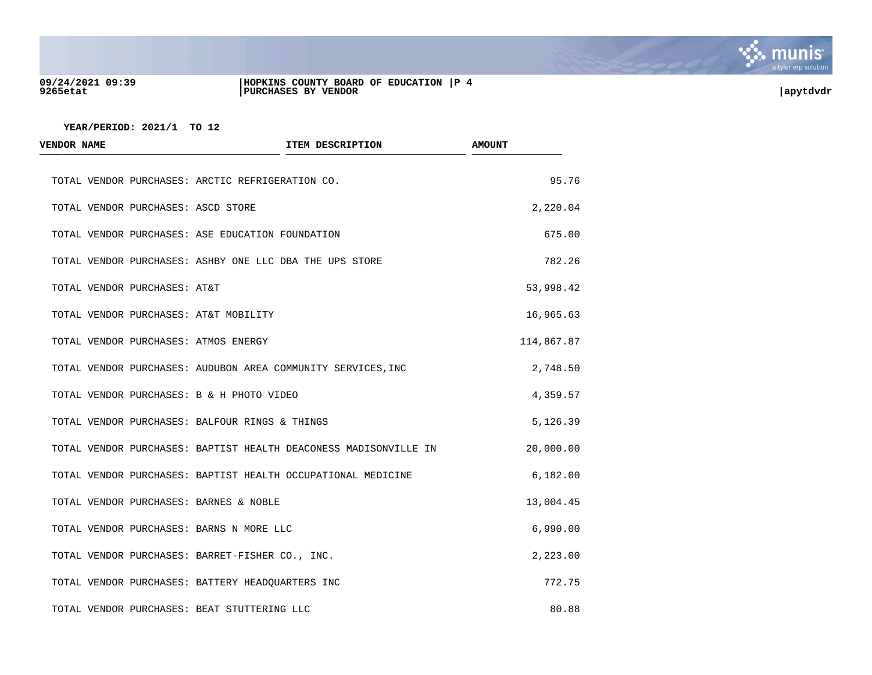

### **09/24/2021 09:39 |HOPKINS COUNTY BOARD OF EDUCATION |P 4 9265etat |PURCHASES BY VENDOR |apytdvdr**

| <b>VENDOR NAME</b>                          | ITEM DESCRIPTION                                                 | <b>AMOUNT</b> |
|---------------------------------------------|------------------------------------------------------------------|---------------|
|                                             | TOTAL VENDOR PURCHASES: ARCTIC REFRIGERATION CO.                 | 95.76         |
| TOTAL VENDOR PURCHASES: ASCD STORE          |                                                                  | 2,220.04      |
|                                             | TOTAL VENDOR PURCHASES: ASE EDUCATION FOUNDATION                 | 675.00        |
|                                             | TOTAL VENDOR PURCHASES: ASHBY ONE LLC DBA THE UPS STORE          | 782.26        |
| TOTAL VENDOR PURCHASES: AT&T                |                                                                  | 53,998.42     |
| TOTAL VENDOR PURCHASES: AT&T MOBILITY       |                                                                  | 16,965.63     |
| TOTAL VENDOR PURCHASES: ATMOS ENERGY        |                                                                  | 114,867.87    |
|                                             | TOTAL VENDOR PURCHASES: AUDUBON AREA COMMUNITY SERVICES, INC     | 2,748.50      |
| TOTAL VENDOR PURCHASES: B & H PHOTO VIDEO   |                                                                  | 4,359.57      |
|                                             | TOTAL VENDOR PURCHASES: BALFOUR RINGS & THINGS                   | 5,126.39      |
|                                             | TOTAL VENDOR PURCHASES: BAPTIST HEALTH DEACONESS MADISONVILLE IN | 20,000.00     |
|                                             | TOTAL VENDOR PURCHASES: BAPTIST HEALTH OCCUPATIONAL MEDICINE     | 6,182.00      |
| TOTAL VENDOR PURCHASES: BARNES & NOBLE      |                                                                  | 13,004.45     |
| TOTAL VENDOR PURCHASES: BARNS N MORE LLC    |                                                                  | 6,990.00      |
|                                             | TOTAL VENDOR PURCHASES: BARRET-FISHER CO., INC.                  | 2,223.00      |
|                                             | TOTAL VENDOR PURCHASES: BATTERY HEADQUARTERS INC                 | 772.75        |
| TOTAL VENDOR PURCHASES: BEAT STUTTERING LLC |                                                                  | 80.88         |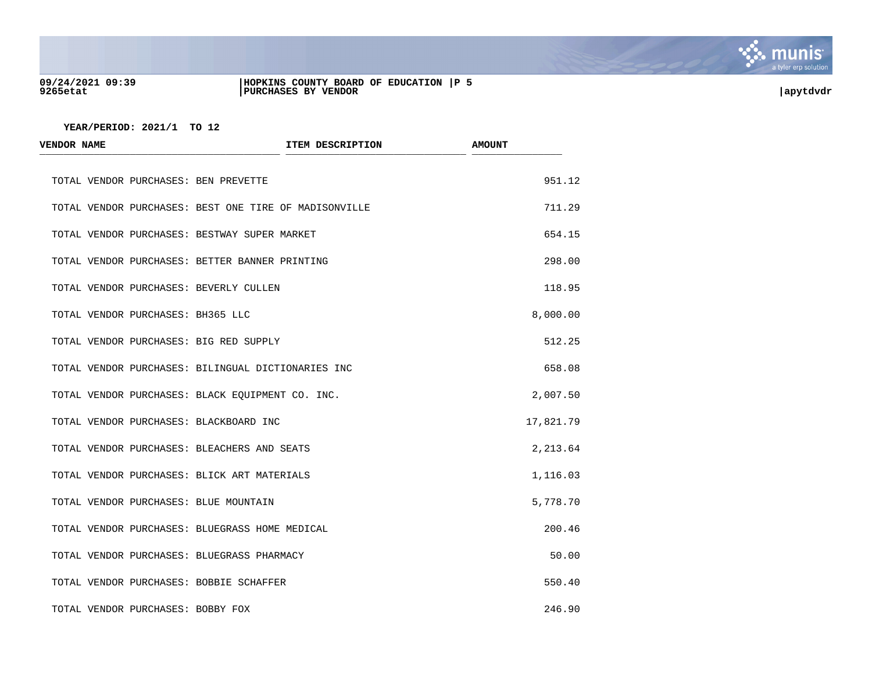

## **09/24/2021 09:39 |HOPKINS COUNTY BOARD OF EDUCATION |P 5 9265etat |PURCHASES BY VENDOR |apytdvdr**

| <b>VENDOR NAME</b>                               | ITEM DESCRIPTION                                      | <b>AMOUNT</b> |
|--------------------------------------------------|-------------------------------------------------------|---------------|
| TOTAL VENDOR PURCHASES: BEN PREVETTE             |                                                       | 951.12        |
|                                                  | TOTAL VENDOR PURCHASES: BEST ONE TIRE OF MADISONVILLE | 711.29        |
| TOTAL VENDOR PURCHASES: BESTWAY SUPER MARKET     |                                                       | 654.15        |
| TOTAL VENDOR PURCHASES: BETTER BANNER PRINTING   |                                                       | 298.00        |
| TOTAL VENDOR PURCHASES: BEVERLY CULLEN           |                                                       | 118.95        |
| TOTAL VENDOR PURCHASES: BH365 LLC                |                                                       | 8,000.00      |
| TOTAL VENDOR PURCHASES: BIG RED SUPPLY           |                                                       | 512.25        |
|                                                  | TOTAL VENDOR PURCHASES: BILINGUAL DICTIONARIES INC    | 658.08        |
| TOTAL VENDOR PURCHASES: BLACK EQUIPMENT CO. INC. |                                                       | 2,007.50      |
| TOTAL VENDOR PURCHASES: BLACKBOARD INC           |                                                       | 17,821.79     |
| TOTAL VENDOR PURCHASES: BLEACHERS AND SEATS      |                                                       | 2,213.64      |
| TOTAL VENDOR PURCHASES: BLICK ART MATERIALS      |                                                       | 1,116.03      |
| TOTAL VENDOR PURCHASES: BLUE MOUNTAIN            |                                                       | 5,778.70      |
| TOTAL VENDOR PURCHASES: BLUEGRASS HOME MEDICAL   |                                                       | 200.46        |
| TOTAL VENDOR PURCHASES: BLUEGRASS PHARMACY       |                                                       | 50.00         |
| TOTAL VENDOR PURCHASES: BOBBIE SCHAFFER          |                                                       | 550.40        |
| TOTAL VENDOR PURCHASES: BOBBY FOX                |                                                       | 246.90        |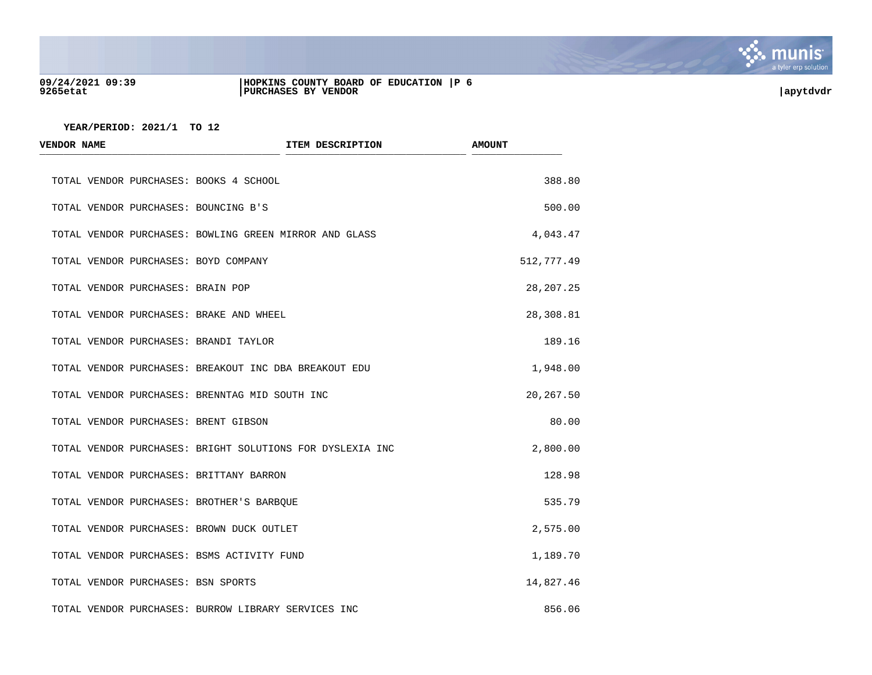

#### **09/24/2021 09:39 |HOPKINS COUNTY BOARD OF EDUCATION |P 6 9265etat |PURCHASES BY VENDOR |apytdvdr**

| <b>VENDOR NAME</b>                     |                                                           | ITEM DESCRIPTION | <b>AMOUNT</b> |
|----------------------------------------|-----------------------------------------------------------|------------------|---------------|
| TOTAL VENDOR PURCHASES: BOOKS 4 SCHOOL |                                                           |                  | 388.80        |
| TOTAL VENDOR PURCHASES: BOUNCING B'S   |                                                           |                  | 500.00        |
|                                        | TOTAL VENDOR PURCHASES: BOWLING GREEN MIRROR AND GLASS    |                  | 4,043.47      |
| TOTAL VENDOR PURCHASES: BOYD COMPANY   |                                                           |                  | 512,777.49    |
| TOTAL VENDOR PURCHASES: BRAIN POP      |                                                           |                  | 28, 207. 25   |
|                                        | TOTAL VENDOR PURCHASES: BRAKE AND WHEEL                   |                  | 28,308.81     |
| TOTAL VENDOR PURCHASES: BRANDI TAYLOR  |                                                           |                  | 189.16        |
|                                        | TOTAL VENDOR PURCHASES: BREAKOUT INC DBA BREAKOUT EDU     |                  | 1,948.00      |
|                                        | TOTAL VENDOR PURCHASES: BRENNTAG MID SOUTH INC            |                  | 20,267.50     |
| TOTAL VENDOR PURCHASES: BRENT GIBSON   |                                                           |                  | 80.00         |
|                                        | TOTAL VENDOR PURCHASES: BRIGHT SOLUTIONS FOR DYSLEXIA INC |                  | 2,800.00      |
|                                        | TOTAL VENDOR PURCHASES: BRITTANY BARRON                   |                  | 128.98        |
|                                        | TOTAL VENDOR PURCHASES: BROTHER'S BARBOUE                 |                  | 535.79        |
|                                        | TOTAL VENDOR PURCHASES: BROWN DUCK OUTLET                 |                  | 2,575.00      |
|                                        | TOTAL VENDOR PURCHASES: BSMS ACTIVITY FUND                |                  | 1,189.70      |
| TOTAL VENDOR PURCHASES: BSN SPORTS     |                                                           |                  | 14,827.46     |
|                                        | TOTAL VENDOR PURCHASES: BURROW LIBRARY SERVICES INC       |                  | 856.06        |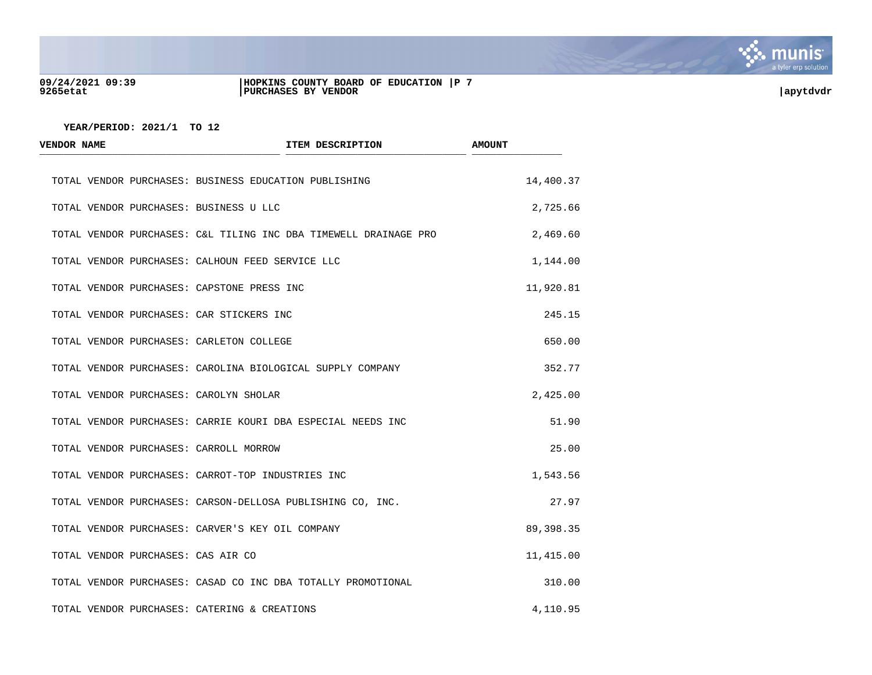

#### **09/24/2021 09:39 |HOPKINS COUNTY BOARD OF EDUCATION |P 7 9265etat |PURCHASES BY VENDOR |apytdvdr**



| <b>VENDOR NAME</b>                           | ITEM DESCRIPTION                                                 | <b>AMOUNT</b> |
|----------------------------------------------|------------------------------------------------------------------|---------------|
|                                              | TOTAL VENDOR PURCHASES: BUSINESS EDUCATION PUBLISHING            | 14,400.37     |
| TOTAL VENDOR PURCHASES: BUSINESS U LLC       |                                                                  | 2,725.66      |
|                                              | TOTAL VENDOR PURCHASES: C&L TILING INC DBA TIMEWELL DRAINAGE PRO | 2,469.60      |
|                                              | TOTAL VENDOR PURCHASES: CALHOUN FEED SERVICE LLC                 | 1,144.00      |
| TOTAL VENDOR PURCHASES: CAPSTONE PRESS INC   |                                                                  | 11,920.81     |
| TOTAL VENDOR PURCHASES: CAR STICKERS INC     |                                                                  | 245.15        |
| TOTAL VENDOR PURCHASES: CARLETON COLLEGE     |                                                                  | 650.00        |
|                                              | TOTAL VENDOR PURCHASES: CAROLINA BIOLOGICAL SUPPLY COMPANY       | 352.77        |
| TOTAL VENDOR PURCHASES: CAROLYN SHOLAR       |                                                                  | 2,425.00      |
|                                              | TOTAL VENDOR PURCHASES: CARRIE KOURI DBA ESPECIAL NEEDS INC      | 51.90         |
| TOTAL VENDOR PURCHASES: CARROLL MORROW       |                                                                  | 25.00         |
|                                              | TOTAL VENDOR PURCHASES: CARROT-TOP INDUSTRIES INC                | 1,543.56      |
|                                              | TOTAL VENDOR PURCHASES: CARSON-DELLOSA PUBLISHING CO, INC.       | 27.97         |
|                                              | TOTAL VENDOR PURCHASES: CARVER'S KEY OIL COMPANY                 | 89,398.35     |
| TOTAL VENDOR PURCHASES: CAS AIR CO           |                                                                  | 11,415.00     |
|                                              | TOTAL VENDOR PURCHASES: CASAD CO INC DBA TOTALLY PROMOTIONAL     | 310.00        |
| TOTAL VENDOR PURCHASES: CATERING & CREATIONS |                                                                  | 4,110.95      |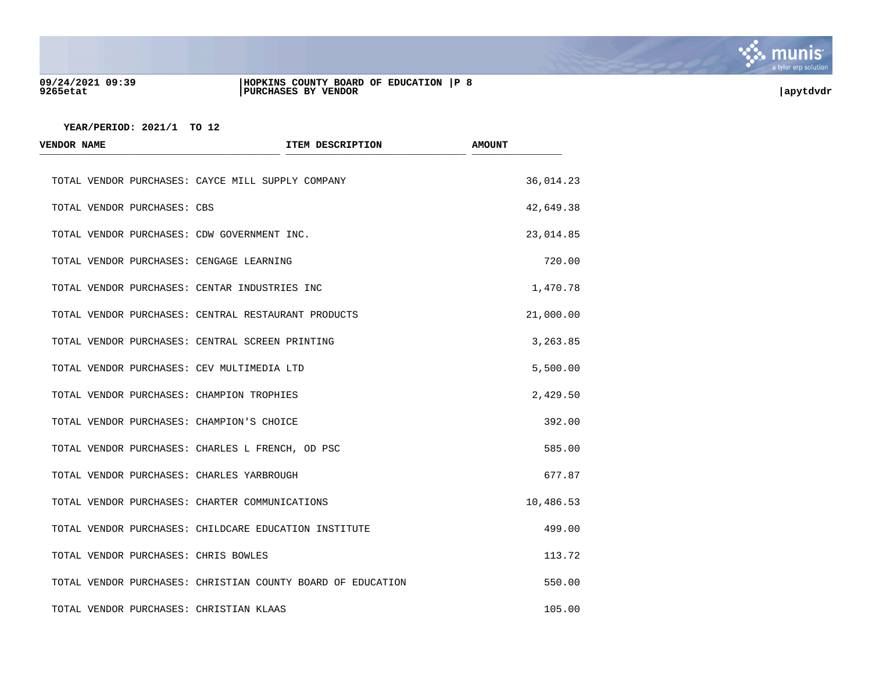

#### **09/24/2021 09:39 |HOPKINS COUNTY BOARD OF EDUCATION |P 8 9265etat |PURCHASES BY VENDOR |apytdvdr**

| <b>VENDOR NAME</b>                         | ITEM DESCRIPTION                                            | <b>AMOUNT</b> |
|--------------------------------------------|-------------------------------------------------------------|---------------|
|                                            | TOTAL VENDOR PURCHASES: CAYCE MILL SUPPLY COMPANY           | 36,014.23     |
| TOTAL VENDOR PURCHASES: CBS                |                                                             | 42,649.38     |
|                                            | TOTAL VENDOR PURCHASES: CDW GOVERNMENT INC.                 | 23,014.85     |
| TOTAL VENDOR PURCHASES: CENGAGE LEARNING   |                                                             | 720.00        |
|                                            | TOTAL VENDOR PURCHASES: CENTAR INDUSTRIES INC               | 1,470.78      |
|                                            | TOTAL VENDOR PURCHASES: CENTRAL RESTAURANT PRODUCTS         | 21,000.00     |
|                                            | TOTAL VENDOR PURCHASES: CENTRAL SCREEN PRINTING             | 3,263.85      |
| TOTAL VENDOR PURCHASES: CEV MULTIMEDIA LTD |                                                             | 5,500.00      |
| TOTAL VENDOR PURCHASES: CHAMPION TROPHIES  |                                                             | 2,429.50      |
| TOTAL VENDOR PURCHASES: CHAMPION'S CHOICE  |                                                             | 392.00        |
|                                            | TOTAL VENDOR PURCHASES: CHARLES L FRENCH, OD PSC            | 585.00        |
| TOTAL VENDOR PURCHASES: CHARLES YARBROUGH  |                                                             | 677.87        |
|                                            | TOTAL VENDOR PURCHASES: CHARTER COMMUNICATIONS              | 10,486.53     |
|                                            | TOTAL VENDOR PURCHASES: CHILDCARE EDUCATION INSTITUTE       | 499.00        |
| TOTAL VENDOR PURCHASES: CHRIS BOWLES       |                                                             | 113.72        |
|                                            | TOTAL VENDOR PURCHASES: CHRISTIAN COUNTY BOARD OF EDUCATION | 550.00        |
| TOTAL VENDOR PURCHASES: CHRISTIAN KLAAS    |                                                             | 105.00        |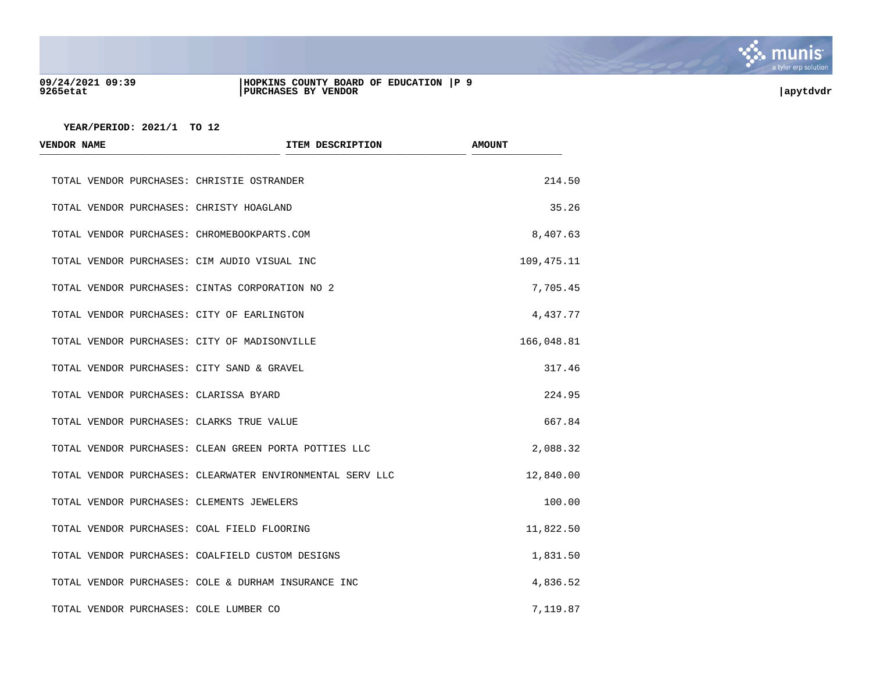

#### **09/24/2021 09:39 |HOPKINS COUNTY BOARD OF EDUCATION |P 9 9265etat |PURCHASES BY VENDOR |apytdvdr**

| <b>VENDOR NAME</b>                     | ITEM DESCRIPTION                                          | <b>AMOUNT</b> |
|----------------------------------------|-----------------------------------------------------------|---------------|
|                                        | TOTAL VENDOR PURCHASES: CHRISTIE OSTRANDER                | 214.50        |
|                                        | TOTAL VENDOR PURCHASES: CHRISTY HOAGLAND                  | 35.26         |
|                                        | TOTAL VENDOR PURCHASES: CHROMEBOOKPARTS.COM               | 8,407.63      |
|                                        | TOTAL VENDOR PURCHASES: CIM AUDIO VISUAL INC              | 109,475.11    |
|                                        | TOTAL VENDOR PURCHASES: CINTAS CORPORATION NO 2           | 7,705.45      |
|                                        | TOTAL VENDOR PURCHASES: CITY OF EARLINGTON                | 4,437.77      |
|                                        | TOTAL VENDOR PURCHASES: CITY OF MADISONVILLE              | 166,048.81    |
|                                        | TOTAL VENDOR PURCHASES: CITY SAND & GRAVEL                | 317.46        |
| TOTAL VENDOR PURCHASES: CLARISSA BYARD |                                                           | 224.95        |
|                                        | TOTAL VENDOR PURCHASES: CLARKS TRUE VALUE                 | 667.84        |
|                                        | TOTAL VENDOR PURCHASES: CLEAN GREEN PORTA POTTIES LLC     | 2,088.32      |
|                                        | TOTAL VENDOR PURCHASES: CLEARWATER ENVIRONMENTAL SERV LLC | 12,840.00     |
|                                        | TOTAL VENDOR PURCHASES: CLEMENTS JEWELERS                 | 100.00        |
|                                        | TOTAL VENDOR PURCHASES: COAL FIELD FLOORING               | 11,822.50     |
|                                        | TOTAL VENDOR PURCHASES: COALFIELD CUSTOM DESIGNS          | 1,831.50      |
|                                        | TOTAL VENDOR PURCHASES: COLE & DURHAM INSURANCE INC       | 4,836.52      |
| TOTAL VENDOR PURCHASES: COLE LUMBER CO |                                                           | 7,119.87      |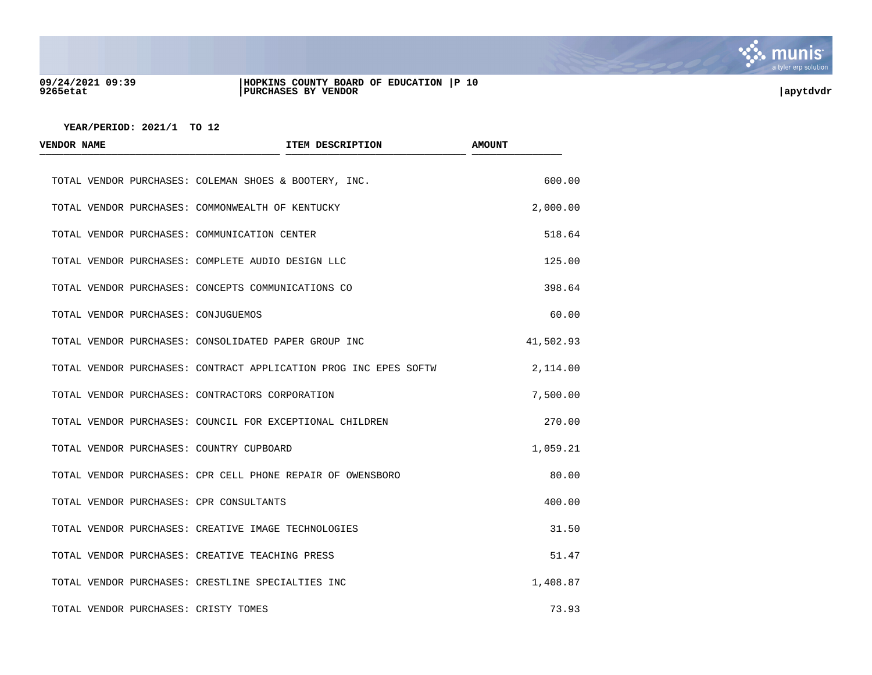

#### **09/24/2021 09:39 |HOPKINS COUNTY BOARD OF EDUCATION |P 10 9265etat |PURCHASES BY VENDOR |apytdvdr**

| <b>VENDOR NAME</b>                           | ITEM DESCRIPTION                                                 | <b>AMOUNT</b> |
|----------------------------------------------|------------------------------------------------------------------|---------------|
|                                              | TOTAL VENDOR PURCHASES: COLEMAN SHOES & BOOTERY, INC.            | 600.00        |
|                                              | TOTAL VENDOR PURCHASES: COMMONWEALTH OF KENTUCKY                 | 2,000.00      |
| TOTAL VENDOR PURCHASES: COMMUNICATION CENTER |                                                                  | 518.64        |
|                                              | TOTAL VENDOR PURCHASES: COMPLETE AUDIO DESIGN LLC                | 125.00        |
|                                              | TOTAL VENDOR PURCHASES: CONCEPTS COMMUNICATIONS CO               | 398.64        |
| TOTAL VENDOR PURCHASES: CONJUGUEMOS          |                                                                  | 60.00         |
|                                              | TOTAL VENDOR PURCHASES: CONSOLIDATED PAPER GROUP INC             | 41,502.93     |
|                                              | TOTAL VENDOR PURCHASES: CONTRACT APPLICATION PROG INC EPES SOFTW | 2,114.00      |
|                                              | TOTAL VENDOR PURCHASES: CONTRACTORS CORPORATION                  | 7,500.00      |
|                                              | TOTAL VENDOR PURCHASES: COUNCIL FOR EXCEPTIONAL CHILDREN         | 270.00        |
| TOTAL VENDOR PURCHASES: COUNTRY CUPBOARD     |                                                                  | 1,059.21      |
|                                              | TOTAL VENDOR PURCHASES: CPR CELL PHONE REPAIR OF OWENSBORO       | 80.00         |
| TOTAL VENDOR PURCHASES: CPR CONSULTANTS      |                                                                  | 400.00        |
|                                              | TOTAL VENDOR PURCHASES: CREATIVE IMAGE TECHNOLOGIES              | 31.50         |
|                                              | TOTAL VENDOR PURCHASES: CREATIVE TEACHING PRESS                  | 51.47         |
|                                              | TOTAL VENDOR PURCHASES: CRESTLINE SPECIALTIES INC                | 1,408.87      |
| TOTAL VENDOR PURCHASES: CRISTY TOMES         |                                                                  | 73.93         |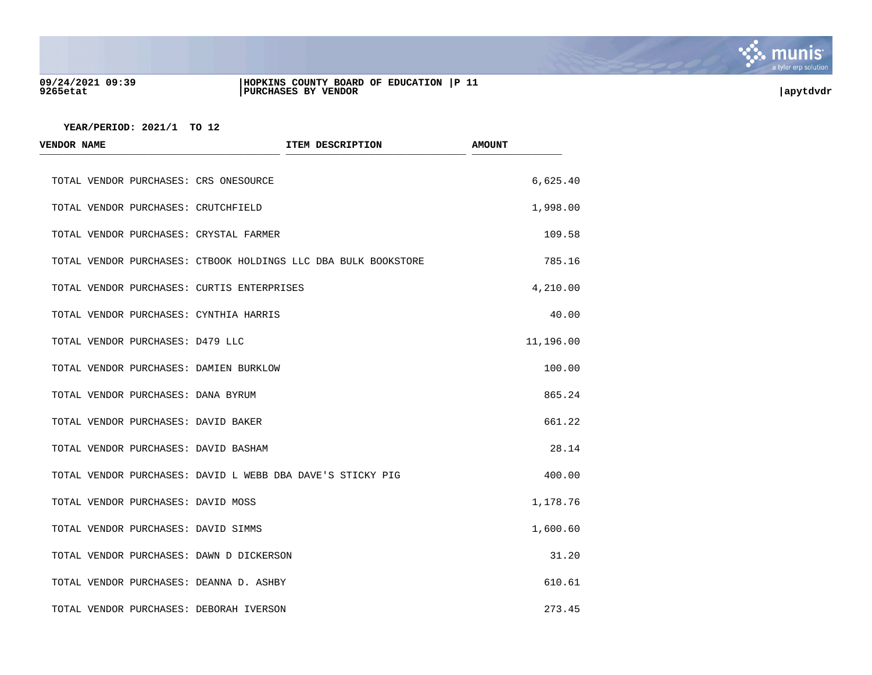

#### **09/24/2021 09:39 |HOPKINS COUNTY BOARD OF EDUCATION |P 11 9265etat |PURCHASES BY VENDOR |apytdvdr**

| <b>VENDOR NAME</b>                         | ITEM DESCRIPTION                                               | <b>AMOUNT</b> |
|--------------------------------------------|----------------------------------------------------------------|---------------|
| TOTAL VENDOR PURCHASES: CRS ONESOURCE      |                                                                | 6,625.40      |
| TOTAL VENDOR PURCHASES: CRUTCHFIELD        |                                                                | 1,998.00      |
| TOTAL VENDOR PURCHASES: CRYSTAL FARMER     |                                                                | 109.58        |
|                                            | TOTAL VENDOR PURCHASES: CTBOOK HOLDINGS LLC DBA BULK BOOKSTORE | 785.16        |
| TOTAL VENDOR PURCHASES: CURTIS ENTERPRISES |                                                                | 4,210.00      |
| TOTAL VENDOR PURCHASES: CYNTHIA HARRIS     |                                                                | 40.00         |
| TOTAL VENDOR PURCHASES: D479 LLC           |                                                                | 11,196.00     |
| TOTAL VENDOR PURCHASES: DAMIEN BURKLOW     |                                                                | 100.00        |
| TOTAL VENDOR PURCHASES: DANA BYRUM         |                                                                | 865.24        |
| TOTAL VENDOR PURCHASES: DAVID BAKER        |                                                                | 661.22        |
| TOTAL VENDOR PURCHASES: DAVID BASHAM       |                                                                | 28.14         |
|                                            | TOTAL VENDOR PURCHASES: DAVID L WEBB DBA DAVE'S STICKY PIG     | 400.00        |
| TOTAL VENDOR PURCHASES: DAVID MOSS         |                                                                | 1,178.76      |
| TOTAL VENDOR PURCHASES: DAVID SIMMS        |                                                                | 1,600.60      |
| TOTAL VENDOR PURCHASES: DAWN D DICKERSON   |                                                                | 31.20         |
| TOTAL VENDOR PURCHASES: DEANNA D. ASHBY    |                                                                | 610.61        |
| TOTAL VENDOR PURCHASES: DEBORAH IVERSON    |                                                                | 273.45        |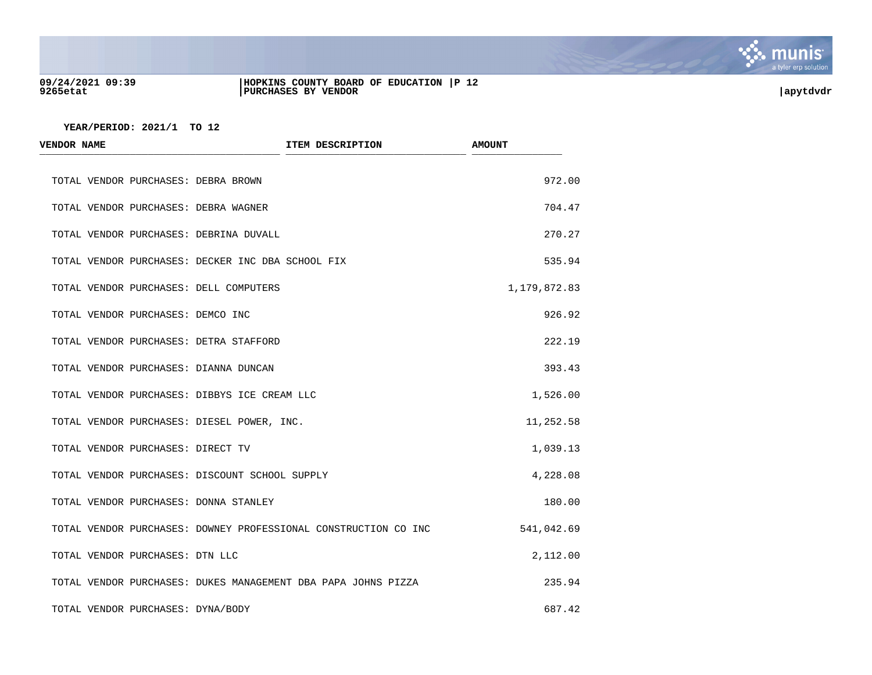

#### **09/24/2021 09:39 |HOPKINS COUNTY BOARD OF EDUCATION |P 12 9265etat |PURCHASES BY VENDOR |apytdvdr**

| <b>VENDOR NAME</b>                             | ITEM DESCRIPTION                                                | <b>AMOUNT</b> |
|------------------------------------------------|-----------------------------------------------------------------|---------------|
| TOTAL VENDOR PURCHASES: DEBRA BROWN            |                                                                 | 972.00        |
| TOTAL VENDOR PURCHASES: DEBRA WAGNER           |                                                                 | 704.47        |
| TOTAL VENDOR PURCHASES: DEBRINA DUVALL         |                                                                 | 270.27        |
|                                                | TOTAL VENDOR PURCHASES: DECKER INC DBA SCHOOL FIX               | 535.94        |
| TOTAL VENDOR PURCHASES: DELL COMPUTERS         |                                                                 | 1,179,872.83  |
| TOTAL VENDOR PURCHASES: DEMCO INC              |                                                                 | 926.92        |
| TOTAL VENDOR PURCHASES: DETRA STAFFORD         |                                                                 | 222.19        |
| TOTAL VENDOR PURCHASES: DIANNA DUNCAN          |                                                                 | 393.43        |
| TOTAL VENDOR PURCHASES: DIBBYS ICE CREAM LLC   |                                                                 | 1,526.00      |
| TOTAL VENDOR PURCHASES: DIESEL POWER, INC.     |                                                                 | 11,252.58     |
| TOTAL VENDOR PURCHASES: DIRECT TV              |                                                                 | 1,039.13      |
| TOTAL VENDOR PURCHASES: DISCOUNT SCHOOL SUPPLY |                                                                 | 4,228.08      |
| TOTAL VENDOR PURCHASES: DONNA STANLEY          |                                                                 | 180.00        |
|                                                | TOTAL VENDOR PURCHASES: DOWNEY PROFESSIONAL CONSTRUCTION CO INC | 541,042.69    |
| TOTAL VENDOR PURCHASES: DTN LLC                |                                                                 | 2,112.00      |
|                                                | TOTAL VENDOR PURCHASES: DUKES MANAGEMENT DBA PAPA JOHNS PIZZA   | 235.94        |
| TOTAL VENDOR PURCHASES: DYNA/BODY              |                                                                 | 687.42        |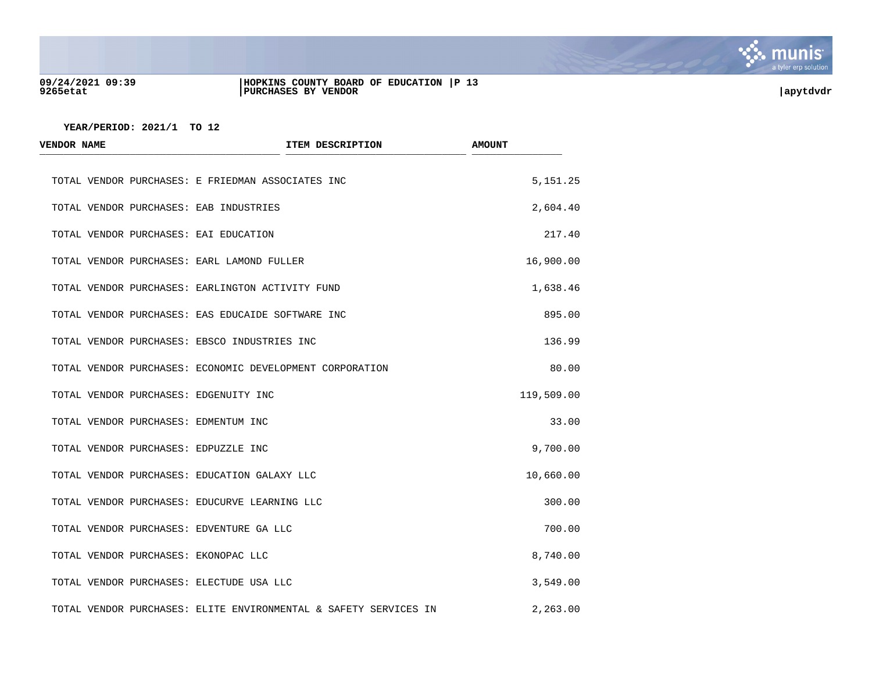

#### **09/24/2021 09:39 |HOPKINS COUNTY BOARD OF EDUCATION |P 13 9265etat |PURCHASES BY VENDOR |apytdvdr**

| <b>VENDOR NAME</b>                            | <b>ITEM DESCRIPTION</b>                                          | <b>AMOUNT</b> |
|-----------------------------------------------|------------------------------------------------------------------|---------------|
|                                               | TOTAL VENDOR PURCHASES: E FRIEDMAN ASSOCIATES INC                | 5, 151. 25    |
| TOTAL VENDOR PURCHASES: EAB INDUSTRIES        |                                                                  | 2,604.40      |
| TOTAL VENDOR PURCHASES: EAI EDUCATION         |                                                                  | 217.40        |
| TOTAL VENDOR PURCHASES: EARL LAMOND FULLER    |                                                                  | 16,900.00     |
|                                               | TOTAL VENDOR PURCHASES: EARLINGTON ACTIVITY FUND                 | 1,638.46      |
|                                               | TOTAL VENDOR PURCHASES: EAS EDUCAIDE SOFTWARE INC                | 895.00        |
| TOTAL VENDOR PURCHASES: EBSCO INDUSTRIES INC  |                                                                  | 136.99        |
|                                               | TOTAL VENDOR PURCHASES: ECONOMIC DEVELOPMENT CORPORATION         | 80.00         |
| TOTAL VENDOR PURCHASES: EDGENUITY INC         |                                                                  | 119,509.00    |
| TOTAL VENDOR PURCHASES: EDMENTUM INC          |                                                                  | 33.00         |
| TOTAL VENDOR PURCHASES: EDPUZZLE INC          |                                                                  | 9,700.00      |
| TOTAL VENDOR PURCHASES: EDUCATION GALAXY LLC  |                                                                  | 10,660.00     |
| TOTAL VENDOR PURCHASES: EDUCURVE LEARNING LLC |                                                                  | 300.00        |
| TOTAL VENDOR PURCHASES: EDVENTURE GA LLC      |                                                                  | 700.00        |
| TOTAL VENDOR PURCHASES: EKONOPAC LLC          |                                                                  | 8,740.00      |
| TOTAL VENDOR PURCHASES: ELECTUDE USA LLC      |                                                                  | 3,549.00      |
|                                               | TOTAL VENDOR PURCHASES: ELITE ENVIRONMENTAL & SAFETY SERVICES IN | 2,263.00      |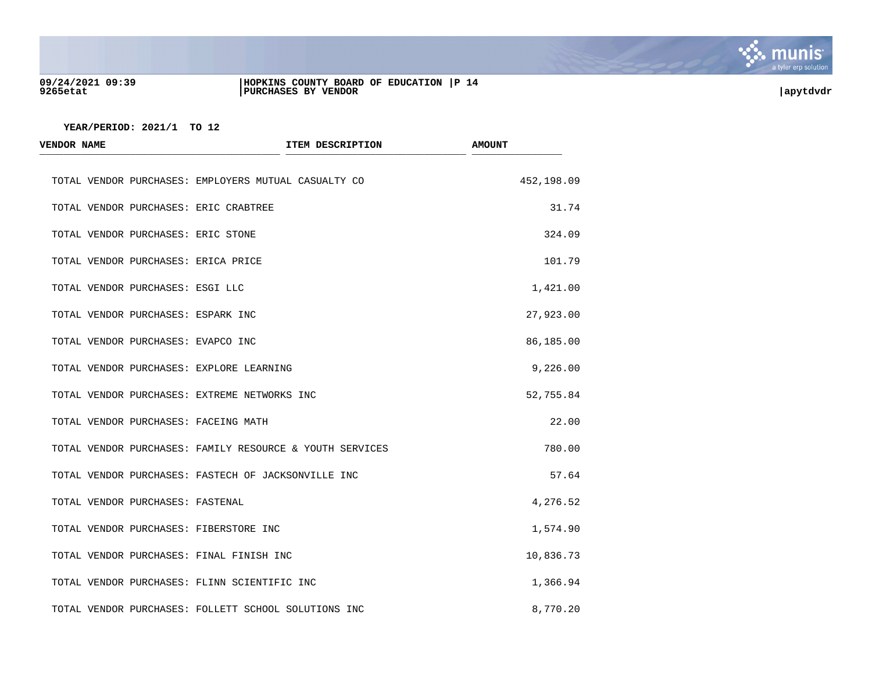

### **09/24/2021 09:39 |HOPKINS COUNTY BOARD OF EDUCATION |P 14 9265etat |PURCHASES BY VENDOR |apytdvdr**

| <b>VENDOR NAME</b>                  | ITEM DESCRIPTION                                         | <b>AMOUNT</b> |
|-------------------------------------|----------------------------------------------------------|---------------|
|                                     | TOTAL VENDOR PURCHASES: EMPLOYERS MUTUAL CASUALTY CO     | 452,198.09    |
|                                     | TOTAL VENDOR PURCHASES: ERIC CRABTREE                    | 31.74         |
| TOTAL VENDOR PURCHASES: ERIC STONE  |                                                          | 324.09        |
| TOTAL VENDOR PURCHASES: ERICA PRICE |                                                          | 101.79        |
| TOTAL VENDOR PURCHASES: ESGI LLC    |                                                          | 1,421.00      |
| TOTAL VENDOR PURCHASES: ESPARK INC  |                                                          | 27,923.00     |
| TOTAL VENDOR PURCHASES: EVAPCO INC  |                                                          | 86,185.00     |
|                                     | TOTAL VENDOR PURCHASES: EXPLORE LEARNING                 | 9,226.00      |
|                                     | TOTAL VENDOR PURCHASES: EXTREME NETWORKS INC             | 52,755.84     |
|                                     | TOTAL VENDOR PURCHASES: FACEING MATH                     | 22.00         |
|                                     | TOTAL VENDOR PURCHASES: FAMILY RESOURCE & YOUTH SERVICES | 780.00        |
|                                     | TOTAL VENDOR PURCHASES: FASTECH OF JACKSONVILLE INC      | 57.64         |
| TOTAL VENDOR PURCHASES: FASTENAL    |                                                          | 4,276.52      |
|                                     | TOTAL VENDOR PURCHASES: FIBERSTORE INC                   | 1,574.90      |
|                                     | TOTAL VENDOR PURCHASES: FINAL FINISH INC                 | 10,836.73     |
|                                     | TOTAL VENDOR PURCHASES: FLINN SCIENTIFIC INC             | 1,366.94      |
|                                     | TOTAL VENDOR PURCHASES: FOLLETT SCHOOL SOLUTIONS INC     | 8,770.20      |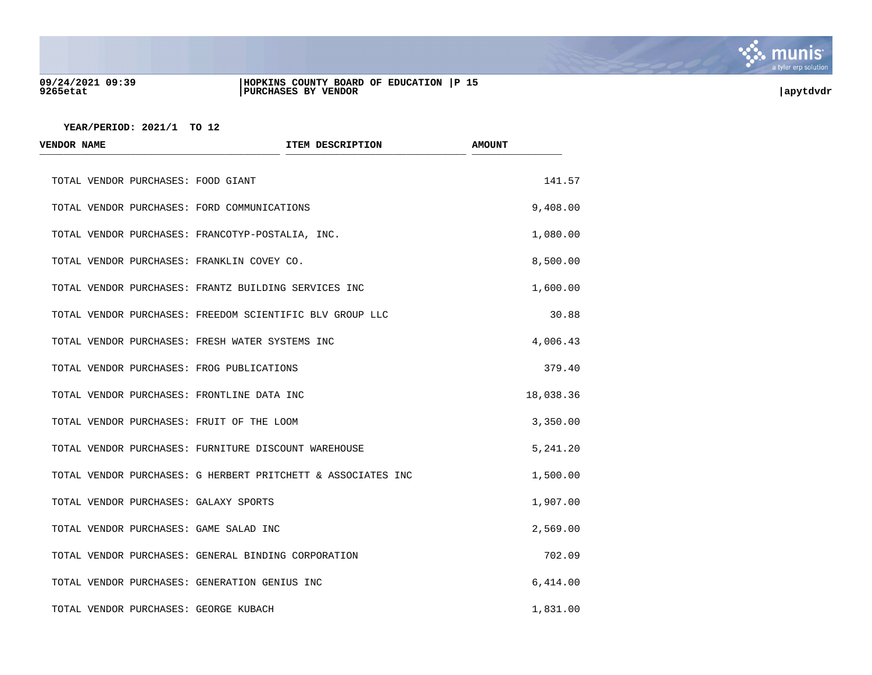

#### **09/24/2021 09:39 |HOPKINS COUNTY BOARD OF EDUCATION |P 15 9265etat |PURCHASES BY VENDOR |apytdvdr**

| <b>VENDOR NAME</b>                    | ITEM DESCRIPTION                                             | <b>AMOUNT</b> |
|---------------------------------------|--------------------------------------------------------------|---------------|
| TOTAL VENDOR PURCHASES: FOOD GIANT    |                                                              | 141.57        |
|                                       | TOTAL VENDOR PURCHASES: FORD COMMUNICATIONS                  | 9,408.00      |
|                                       | TOTAL VENDOR PURCHASES: FRANCOTYP-POSTALIA, INC.             | 1,080.00      |
|                                       | TOTAL VENDOR PURCHASES: FRANKLIN COVEY CO.                   | 8,500.00      |
|                                       | TOTAL VENDOR PURCHASES: FRANTZ BUILDING SERVICES INC         | 1,600.00      |
|                                       | TOTAL VENDOR PURCHASES: FREEDOM SCIENTIFIC BLV GROUP LLC     | 30.88         |
|                                       | TOTAL VENDOR PURCHASES: FRESH WATER SYSTEMS INC              | 4,006.43      |
|                                       | TOTAL VENDOR PURCHASES: FROG PUBLICATIONS                    | 379.40        |
|                                       | TOTAL VENDOR PURCHASES: FRONTLINE DATA INC                   | 18,038.36     |
|                                       | TOTAL VENDOR PURCHASES: FRUIT OF THE LOOM                    | 3,350.00      |
|                                       | TOTAL VENDOR PURCHASES: FURNITURE DISCOUNT WAREHOUSE         | 5,241.20      |
|                                       | TOTAL VENDOR PURCHASES: G HERBERT PRITCHETT & ASSOCIATES INC | 1,500.00      |
| TOTAL VENDOR PURCHASES: GALAXY SPORTS |                                                              | 1,907.00      |
|                                       | TOTAL VENDOR PURCHASES: GAME SALAD INC                       | 2,569.00      |
|                                       | TOTAL VENDOR PURCHASES: GENERAL BINDING CORPORATION          | 702.09        |
|                                       | TOTAL VENDOR PURCHASES: GENERATION GENIUS INC                | 6,414.00      |
| TOTAL VENDOR PURCHASES: GEORGE KUBACH |                                                              | 1,831.00      |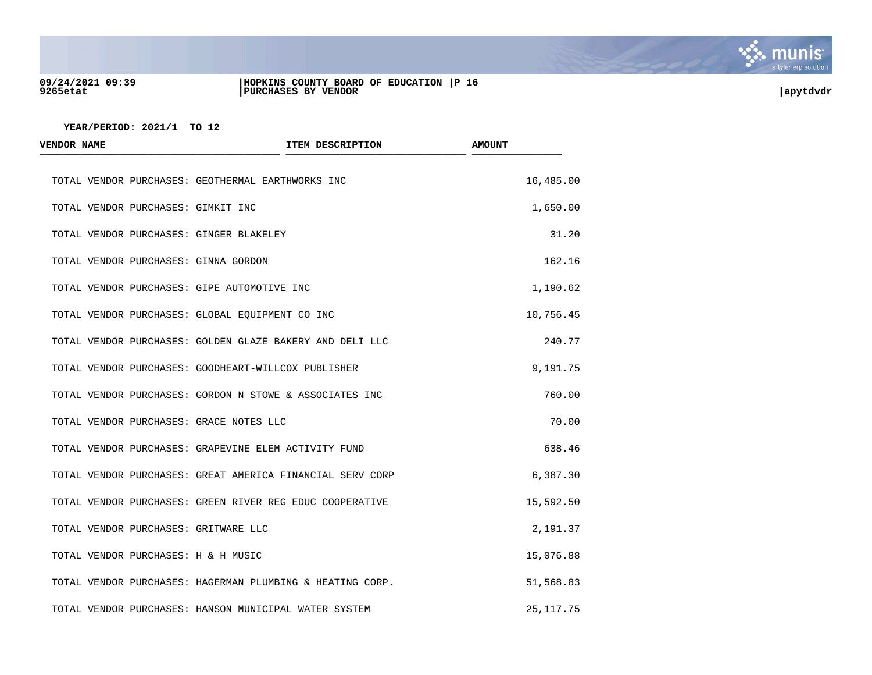

#### **09/24/2021 09:39 |HOPKINS COUNTY BOARD OF EDUCATION |P 16 9265etat |PURCHASES BY VENDOR |apytdvdr**



| <b>VENDOR NAME</b>                      | ITEM DESCRIPTION                                          | <b>AMOUNT</b> |
|-----------------------------------------|-----------------------------------------------------------|---------------|
|                                         | TOTAL VENDOR PURCHASES: GEOTHERMAL EARTHWORKS INC         | 16,485.00     |
| TOTAL VENDOR PURCHASES: GIMKIT INC      |                                                           | 1,650.00      |
| TOTAL VENDOR PURCHASES: GINGER BLAKELEY |                                                           | 31.20         |
| TOTAL VENDOR PURCHASES: GINNA GORDON    |                                                           | 162.16        |
|                                         | TOTAL VENDOR PURCHASES: GIPE AUTOMOTIVE INC               | 1,190.62      |
|                                         | TOTAL VENDOR PURCHASES: GLOBAL EQUIPMENT CO INC           | 10,756.45     |
|                                         | TOTAL VENDOR PURCHASES: GOLDEN GLAZE BAKERY AND DELI LLC  | 240.77        |
|                                         | TOTAL VENDOR PURCHASES: GOODHEART-WILLCOX PUBLISHER       | 9,191.75      |
|                                         | TOTAL VENDOR PURCHASES: GORDON N STOWE & ASSOCIATES INC   | 760.00        |
| TOTAL VENDOR PURCHASES: GRACE NOTES LLC |                                                           | 70.00         |
|                                         | TOTAL VENDOR PURCHASES: GRAPEVINE ELEM ACTIVITY FUND      | 638.46        |
|                                         | TOTAL VENDOR PURCHASES: GREAT AMERICA FINANCIAL SERV CORP | 6,387.30      |
|                                         | TOTAL VENDOR PURCHASES: GREEN RIVER REG EDUC COOPERATIVE  | 15,592.50     |
| TOTAL VENDOR PURCHASES: GRITWARE LLC    |                                                           | 2,191.37      |
| TOTAL VENDOR PURCHASES: H & H MUSIC     |                                                           | 15,076.88     |
|                                         | TOTAL VENDOR PURCHASES: HAGERMAN PLUMBING & HEATING CORP. | 51,568.83     |
|                                         | TOTAL VENDOR PURCHASES: HANSON MUNICIPAL WATER SYSTEM     | 25, 117.75    |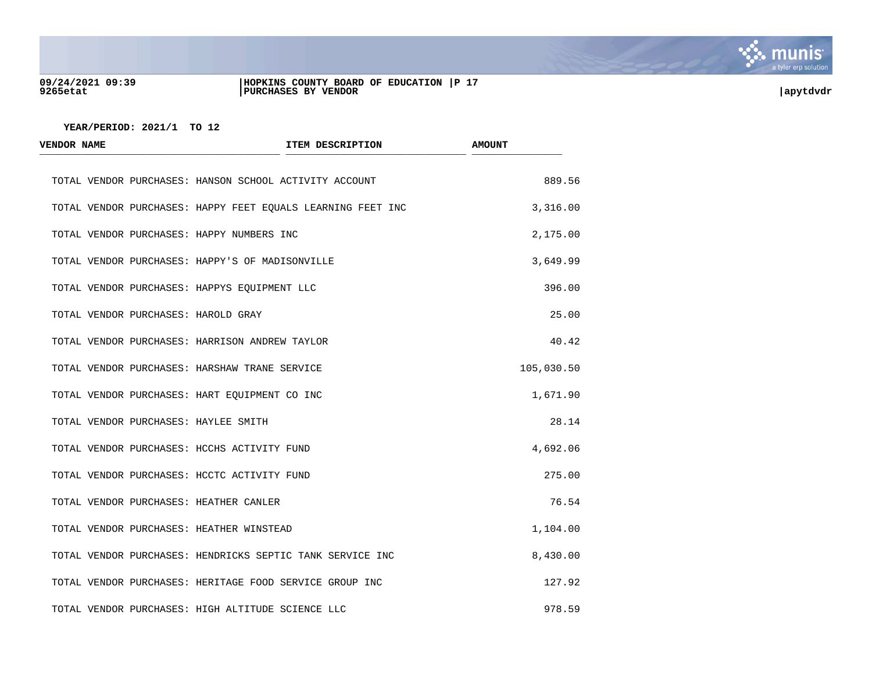

#### **09/24/2021 09:39 |HOPKINS COUNTY BOARD OF EDUCATION |P 17 9265etat |PURCHASES BY VENDOR |apytdvdr**

| <b>VENDOR NAME</b>                       | ITEM DESCRIPTION                                            | <b>AMOUNT</b> |
|------------------------------------------|-------------------------------------------------------------|---------------|
|                                          | TOTAL VENDOR PURCHASES: HANSON SCHOOL ACTIVITY ACCOUNT      | 889.56        |
|                                          | TOTAL VENDOR PURCHASES: HAPPY FEET EQUALS LEARNING FEET INC | 3,316.00      |
|                                          | TOTAL VENDOR PURCHASES: HAPPY NUMBERS INC                   | 2,175.00      |
|                                          | TOTAL VENDOR PURCHASES: HAPPY'S OF MADISONVILLE             | 3,649.99      |
|                                          | TOTAL VENDOR PURCHASES: HAPPYS EQUIPMENT LLC                | 396.00        |
| TOTAL VENDOR PURCHASES: HAROLD GRAY      |                                                             | 25.00         |
|                                          | TOTAL VENDOR PURCHASES: HARRISON ANDREW TAYLOR              | 40.42         |
|                                          | TOTAL VENDOR PURCHASES: HARSHAW TRANE SERVICE               | 105,030.50    |
|                                          | TOTAL VENDOR PURCHASES: HART EQUIPMENT CO INC               | 1,671.90      |
| TOTAL VENDOR PURCHASES: HAYLEE SMITH     |                                                             | 28.14         |
|                                          | TOTAL VENDOR PURCHASES: HCCHS ACTIVITY FUND                 | 4,692.06      |
|                                          | TOTAL VENDOR PURCHASES: HCCTC ACTIVITY FUND                 | 275.00        |
| TOTAL VENDOR PURCHASES: HEATHER CANLER   |                                                             | 76.54         |
| TOTAL VENDOR PURCHASES: HEATHER WINSTEAD |                                                             | 1,104.00      |
|                                          | TOTAL VENDOR PURCHASES: HENDRICKS SEPTIC TANK SERVICE INC   | 8,430.00      |
|                                          | TOTAL VENDOR PURCHASES: HERITAGE FOOD SERVICE GROUP INC     | 127.92        |
|                                          | TOTAL VENDOR PURCHASES: HIGH ALTITUDE SCIENCE LLC           | 978.59        |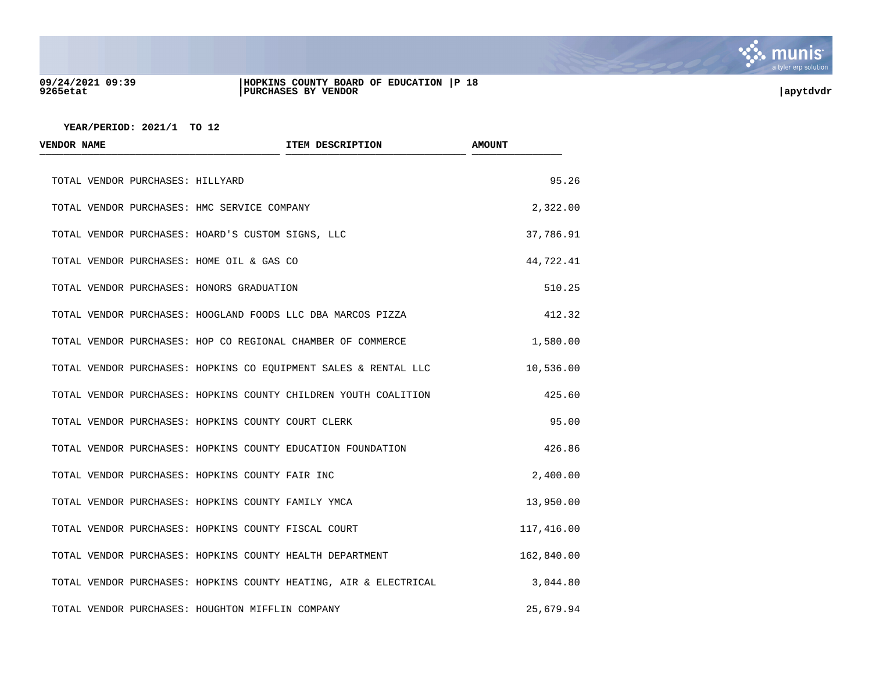

#### **09/24/2021 09:39 |HOPKINS COUNTY BOARD OF EDUCATION |P 18 9265etat |PURCHASES BY VENDOR |apytdvdr**

| <b>VENDOR NAME</b>                                          | ITEM DESCRIPTION                                                 | <b>AMOUNT</b> |
|-------------------------------------------------------------|------------------------------------------------------------------|---------------|
| TOTAL VENDOR PURCHASES: HILLYARD                            |                                                                  | 95.26         |
| TOTAL VENDOR PURCHASES: HMC SERVICE COMPANY                 |                                                                  | 2,322.00      |
| TOTAL VENDOR PURCHASES: HOARD'S CUSTOM SIGNS, LLC           |                                                                  | 37,786.91     |
| TOTAL VENDOR PURCHASES: HOME OIL & GAS CO                   |                                                                  | 44,722.41     |
| TOTAL VENDOR PURCHASES: HONORS GRADUATION                   |                                                                  | 510.25        |
| TOTAL VENDOR PURCHASES: HOOGLAND FOODS LLC DBA MARCOS PIZZA |                                                                  | 412.32        |
| TOTAL VENDOR PURCHASES: HOP CO REGIONAL CHAMBER OF COMMERCE |                                                                  | 1,580.00      |
|                                                             | TOTAL VENDOR PURCHASES: HOPKINS CO EQUIPMENT SALES & RENTAL LLC  | 10,536.00     |
|                                                             | TOTAL VENDOR PURCHASES: HOPKINS COUNTY CHILDREN YOUTH COALITION  | 425.60        |
| TOTAL VENDOR PURCHASES: HOPKINS COUNTY COURT CLERK          |                                                                  | 95.00         |
| TOTAL VENDOR PURCHASES: HOPKINS COUNTY EDUCATION FOUNDATION |                                                                  | 426.86        |
| TOTAL VENDOR PURCHASES: HOPKINS COUNTY FAIR INC             |                                                                  | 2,400.00      |
| TOTAL VENDOR PURCHASES: HOPKINS COUNTY FAMILY YMCA          |                                                                  | 13,950.00     |
| TOTAL VENDOR PURCHASES: HOPKINS COUNTY FISCAL COURT         |                                                                  | 117,416.00    |
| TOTAL VENDOR PURCHASES: HOPKINS COUNTY HEALTH DEPARTMENT    |                                                                  | 162,840.00    |
|                                                             | TOTAL VENDOR PURCHASES: HOPKINS COUNTY HEATING, AIR & ELECTRICAL | 3,044.80      |
| TOTAL VENDOR PURCHASES: HOUGHTON MIFFLIN COMPANY            |                                                                  | 25,679.94     |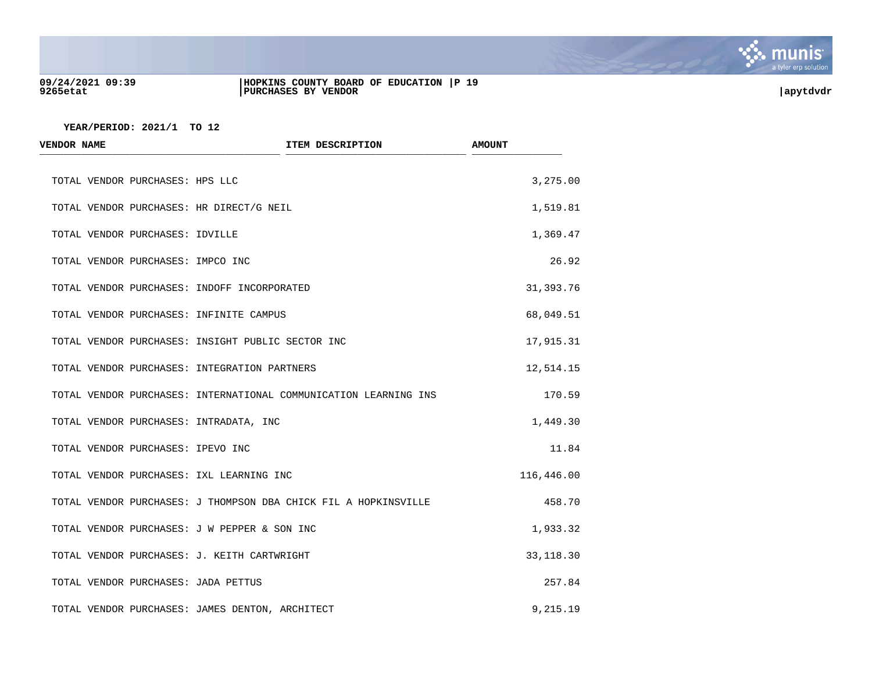

#### **09/24/2021 09:39 |HOPKINS COUNTY BOARD OF EDUCATION |P 19 9265etat |PURCHASES BY VENDOR |apytdvdr**

| ITEM DESCRIPTION<br><b>VENDOR NAME</b>       |                                                                  | <b>AMOUNT</b> |
|----------------------------------------------|------------------------------------------------------------------|---------------|
| TOTAL VENDOR PURCHASES: HPS LLC              |                                                                  | 3,275.00      |
| TOTAL VENDOR PURCHASES: HR DIRECT/G NEIL     |                                                                  | 1,519.81      |
| TOTAL VENDOR PURCHASES: IDVILLE              |                                                                  | 1,369.47      |
| TOTAL VENDOR PURCHASES: IMPCO INC            |                                                                  | 26.92         |
| TOTAL VENDOR PURCHASES: INDOFF INCORPORATED  |                                                                  | 31,393.76     |
| TOTAL VENDOR PURCHASES: INFINITE CAMPUS      |                                                                  | 68,049.51     |
|                                              | TOTAL VENDOR PURCHASES: INSIGHT PUBLIC SECTOR INC                | 17,915.31     |
| TOTAL VENDOR PURCHASES: INTEGRATION PARTNERS |                                                                  | 12,514.15     |
|                                              | TOTAL VENDOR PURCHASES: INTERNATIONAL COMMUNICATION LEARNING INS | 170.59        |
| TOTAL VENDOR PURCHASES: INTRADATA, INC       |                                                                  | 1,449.30      |
| TOTAL VENDOR PURCHASES: IPEVO INC            |                                                                  | 11.84         |
| TOTAL VENDOR PURCHASES: IXL LEARNING INC     |                                                                  | 116,446.00    |
|                                              | TOTAL VENDOR PURCHASES: J THOMPSON DBA CHICK FIL A HOPKINSVILLE  | 458.70        |
| TOTAL VENDOR PURCHASES: J W PEPPER & SON INC |                                                                  | 1,933.32      |
| TOTAL VENDOR PURCHASES: J. KEITH CARTWRIGHT  |                                                                  | 33, 118.30    |
| TOTAL VENDOR PURCHASES: JADA PETTUS          |                                                                  | 257.84        |
|                                              | TOTAL VENDOR PURCHASES: JAMES DENTON, ARCHITECT                  | 9,215.19      |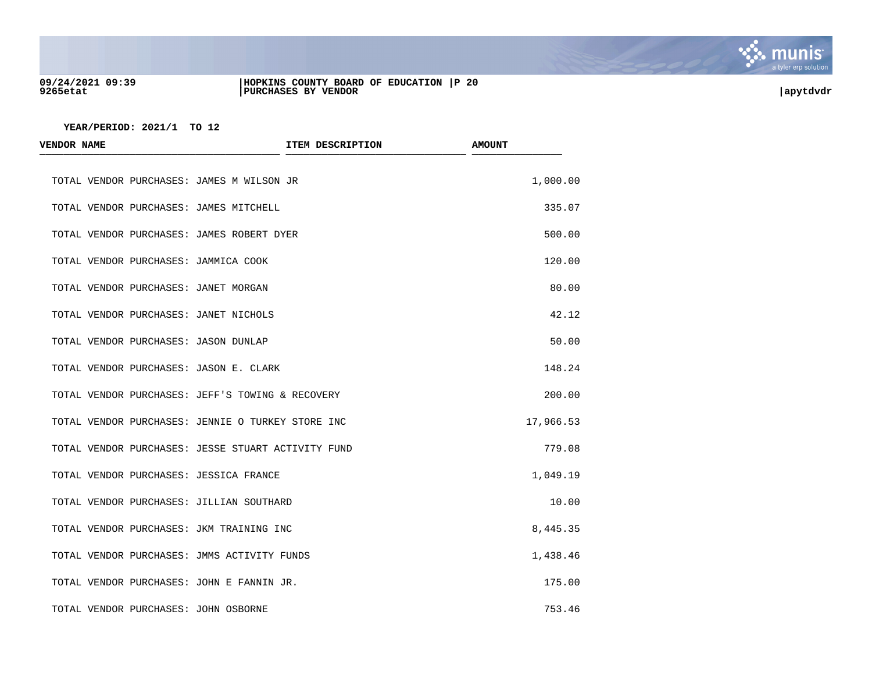

#### **09/24/2021 09:39 |HOPKINS COUNTY BOARD OF EDUCATION |P 20 9265etat |PURCHASES BY VENDOR |apytdvdr**

| <b>VENDOR NAME</b>                                 | ITEM DESCRIPTION | <b>AMOUNT</b> |
|----------------------------------------------------|------------------|---------------|
| TOTAL VENDOR PURCHASES: JAMES M WILSON JR          |                  | 1,000.00      |
| TOTAL VENDOR PURCHASES: JAMES MITCHELL             |                  | 335.07        |
| TOTAL VENDOR PURCHASES: JAMES ROBERT DYER          |                  | 500.00        |
| TOTAL VENDOR PURCHASES: JAMMICA COOK               |                  | 120.00        |
| TOTAL VENDOR PURCHASES: JANET MORGAN               |                  | 80.00         |
| TOTAL VENDOR PURCHASES: JANET NICHOLS              |                  | 42.12         |
| TOTAL VENDOR PURCHASES: JASON DUNLAP               |                  | 50.00         |
| TOTAL VENDOR PURCHASES: JASON E. CLARK             |                  | 148.24        |
| TOTAL VENDOR PURCHASES: JEFF'S TOWING & RECOVERY   |                  | 200.00        |
| TOTAL VENDOR PURCHASES: JENNIE O TURKEY STORE INC  |                  | 17,966.53     |
| TOTAL VENDOR PURCHASES: JESSE STUART ACTIVITY FUND |                  | 779.08        |
| TOTAL VENDOR PURCHASES: JESSICA FRANCE             |                  | 1,049.19      |
| TOTAL VENDOR PURCHASES: JILLIAN SOUTHARD           |                  | 10.00         |
| TOTAL VENDOR PURCHASES: JKM TRAINING INC           |                  | 8,445.35      |
| TOTAL VENDOR PURCHASES: JMMS ACTIVITY FUNDS        |                  | 1,438.46      |
| TOTAL VENDOR PURCHASES: JOHN E FANNIN JR.          |                  | 175.00        |
| TOTAL VENDOR PURCHASES: JOHN OSBORNE               |                  | 753.46        |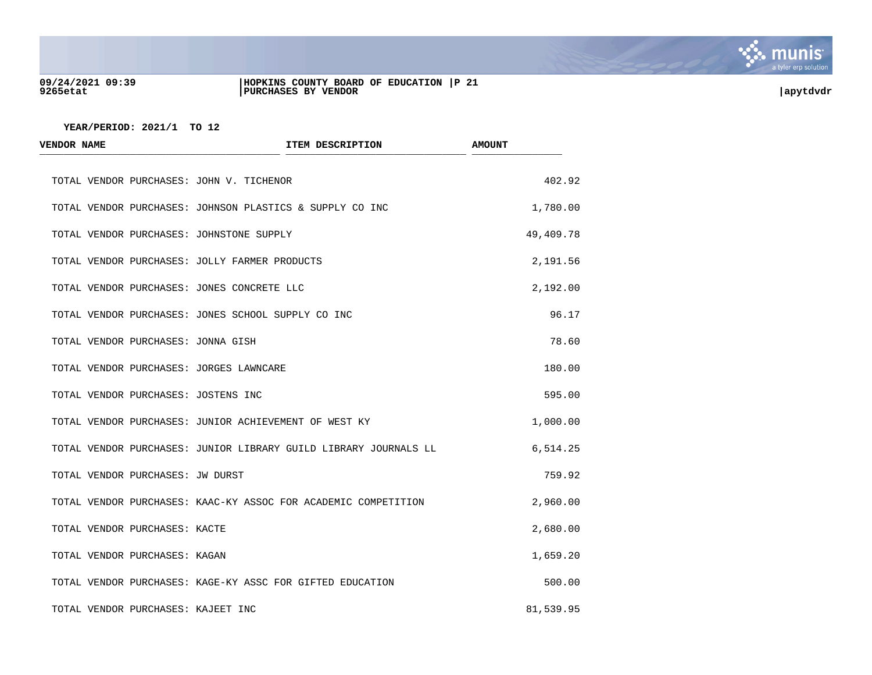

#### **09/24/2021 09:39 |HOPKINS COUNTY BOARD OF EDUCATION |P 21 9265etat |PURCHASES BY VENDOR |apytdvdr**

| <b>VENDOR NAME</b>                            | ITEM DESCRIPTION                                                 | <b>AMOUNT</b> |
|-----------------------------------------------|------------------------------------------------------------------|---------------|
| TOTAL VENDOR PURCHASES: JOHN V. TICHENOR      |                                                                  | 402.92        |
|                                               | TOTAL VENDOR PURCHASES: JOHNSON PLASTICS & SUPPLY CO INC         | 1,780.00      |
| TOTAL VENDOR PURCHASES: JOHNSTONE SUPPLY      |                                                                  | 49,409.78     |
| TOTAL VENDOR PURCHASES: JOLLY FARMER PRODUCTS |                                                                  | 2,191.56      |
| TOTAL VENDOR PURCHASES: JONES CONCRETE LLC    |                                                                  | 2,192.00      |
|                                               | TOTAL VENDOR PURCHASES: JONES SCHOOL SUPPLY CO INC               | 96.17         |
| TOTAL VENDOR PURCHASES: JONNA GISH            |                                                                  | 78.60         |
| TOTAL VENDOR PURCHASES: JORGES LAWNCARE       |                                                                  | 180.00        |
| TOTAL VENDOR PURCHASES: JOSTENS INC           |                                                                  | 595.00        |
|                                               | TOTAL VENDOR PURCHASES: JUNIOR ACHIEVEMENT OF WEST KY            | 1,000.00      |
|                                               | TOTAL VENDOR PURCHASES: JUNIOR LIBRARY GUILD LIBRARY JOURNALS LL | 6,514.25      |
| TOTAL VENDOR PURCHASES: JW DURST              |                                                                  | 759.92        |
|                                               | TOTAL VENDOR PURCHASES: KAAC-KY ASSOC FOR ACADEMIC COMPETITION   | 2,960.00      |
| TOTAL VENDOR PURCHASES: KACTE                 |                                                                  | 2,680.00      |
| TOTAL VENDOR PURCHASES: KAGAN                 |                                                                  | 1,659.20      |
|                                               | TOTAL VENDOR PURCHASES: KAGE-KY ASSC FOR GIFTED EDUCATION        | 500.00        |
| TOTAL VENDOR PURCHASES: KAJEET INC            |                                                                  | 81,539.95     |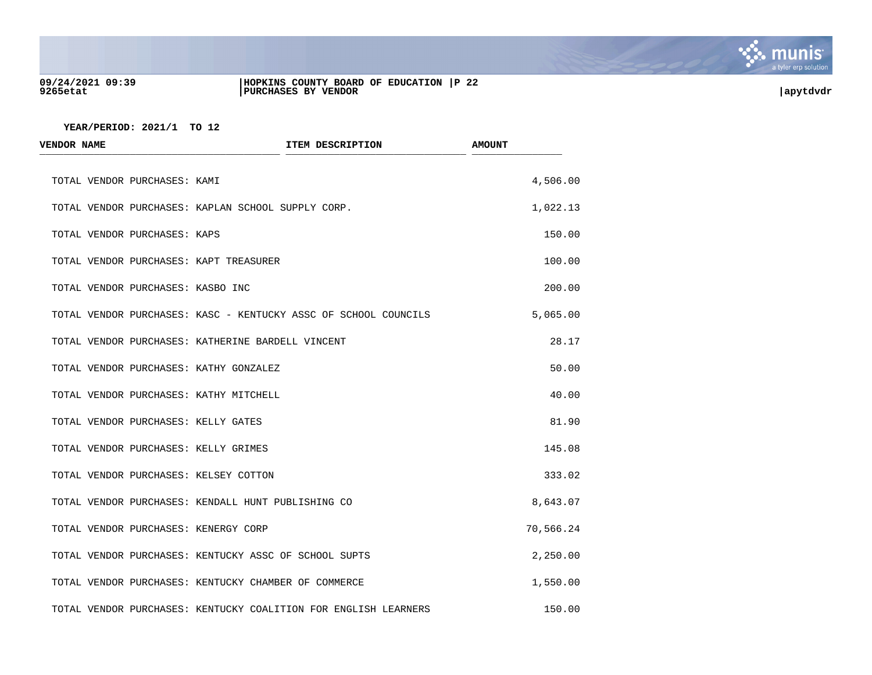

#### **09/24/2021 09:39 |HOPKINS COUNTY BOARD OF EDUCATION |P 22 9265etat |PURCHASES BY VENDOR |apytdvdr**

| <b>VENDOR NAME</b>                     | ITEM DESCRIPTION                                                | <b>AMOUNT</b> |
|----------------------------------------|-----------------------------------------------------------------|---------------|
| TOTAL VENDOR PURCHASES: KAMI           |                                                                 | 4,506.00      |
|                                        | TOTAL VENDOR PURCHASES: KAPLAN SCHOOL SUPPLY CORP.              | 1,022.13      |
| TOTAL VENDOR PURCHASES: KAPS           |                                                                 | 150.00        |
| TOTAL VENDOR PURCHASES: KAPT TREASURER |                                                                 | 100.00        |
| TOTAL VENDOR PURCHASES: KASBO INC      |                                                                 | 200.00        |
|                                        | TOTAL VENDOR PURCHASES: KASC - KENTUCKY ASSC OF SCHOOL COUNCILS | 5,065.00      |
|                                        | TOTAL VENDOR PURCHASES: KATHERINE BARDELL VINCENT               | 28.17         |
| TOTAL VENDOR PURCHASES: KATHY GONZALEZ |                                                                 | 50.00         |
| TOTAL VENDOR PURCHASES: KATHY MITCHELL |                                                                 | 40.00         |
| TOTAL VENDOR PURCHASES: KELLY GATES    |                                                                 | 81.90         |
| TOTAL VENDOR PURCHASES: KELLY GRIMES   |                                                                 | 145.08        |
| TOTAL VENDOR PURCHASES: KELSEY COTTON  |                                                                 | 333.02        |
|                                        | TOTAL VENDOR PURCHASES: KENDALL HUNT PUBLISHING CO              | 8,643.07      |
| TOTAL VENDOR PURCHASES: KENERGY CORP   |                                                                 | 70,566.24     |
|                                        | TOTAL VENDOR PURCHASES: KENTUCKY ASSC OF SCHOOL SUPTS           | 2,250.00      |
|                                        | TOTAL VENDOR PURCHASES: KENTUCKY CHAMBER OF COMMERCE            | 1,550.00      |
|                                        | TOTAL VENDOR PURCHASES: KENTUCKY COALITION FOR ENGLISH LEARNERS | 150.00        |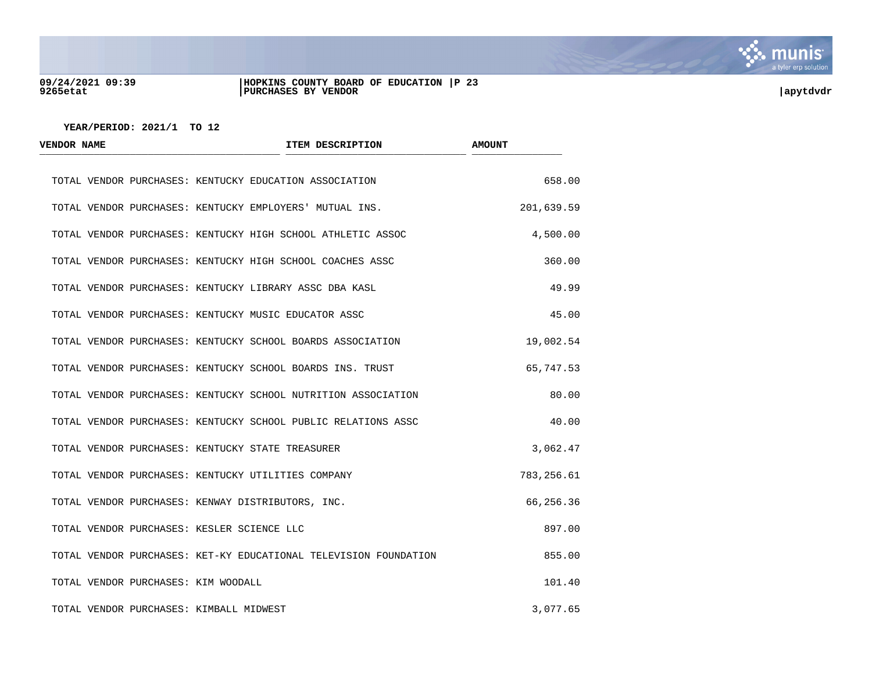

### **09/24/2021 09:39 |HOPKINS COUNTY BOARD OF EDUCATION |P 23 9265etat |PURCHASES BY VENDOR |apytdvdr**

| <b>VENDOR NAME</b>                         | ITEM DESCRIPTION                                                 | <b>AMOUNT</b> |
|--------------------------------------------|------------------------------------------------------------------|---------------|
|                                            | TOTAL VENDOR PURCHASES: KENTUCKY EDUCATION ASSOCIATION           | 658.00        |
|                                            | TOTAL VENDOR PURCHASES: KENTUCKY EMPLOYERS' MUTUAL INS.          | 201,639.59    |
|                                            | TOTAL VENDOR PURCHASES: KENTUCKY HIGH SCHOOL ATHLETIC ASSOC      | 4,500.00      |
|                                            | TOTAL VENDOR PURCHASES: KENTUCKY HIGH SCHOOL COACHES ASSC        | 360.00        |
|                                            | TOTAL VENDOR PURCHASES: KENTUCKY LIBRARY ASSC DBA KASL           | 49.99         |
|                                            | TOTAL VENDOR PURCHASES: KENTUCKY MUSIC EDUCATOR ASSC             | 45.00         |
|                                            | TOTAL VENDOR PURCHASES: KENTUCKY SCHOOL BOARDS ASSOCIATION       | 19,002.54     |
|                                            | TOTAL VENDOR PURCHASES: KENTUCKY SCHOOL BOARDS INS. TRUST        | 65,747.53     |
|                                            | TOTAL VENDOR PURCHASES: KENTUCKY SCHOOL NUTRITION ASSOCIATION    | 80.00         |
|                                            | TOTAL VENDOR PURCHASES: KENTUCKY SCHOOL PUBLIC RELATIONS ASSC    | 40.00         |
|                                            | TOTAL VENDOR PURCHASES: KENTUCKY STATE TREASURER                 | 3,062.47      |
|                                            | TOTAL VENDOR PURCHASES: KENTUCKY UTILITIES COMPANY               | 783,256.61    |
|                                            | TOTAL VENDOR PURCHASES: KENWAY DISTRIBUTORS, INC.                | 66,256.36     |
| TOTAL VENDOR PURCHASES: KESLER SCIENCE LLC |                                                                  | 897.00        |
|                                            | TOTAL VENDOR PURCHASES: KET-KY EDUCATIONAL TELEVISION FOUNDATION | 855.00        |
| TOTAL VENDOR PURCHASES: KIM WOODALL        |                                                                  | 101.40        |
| TOTAL VENDOR PURCHASES: KIMBALL MIDWEST    |                                                                  | 3,077.65      |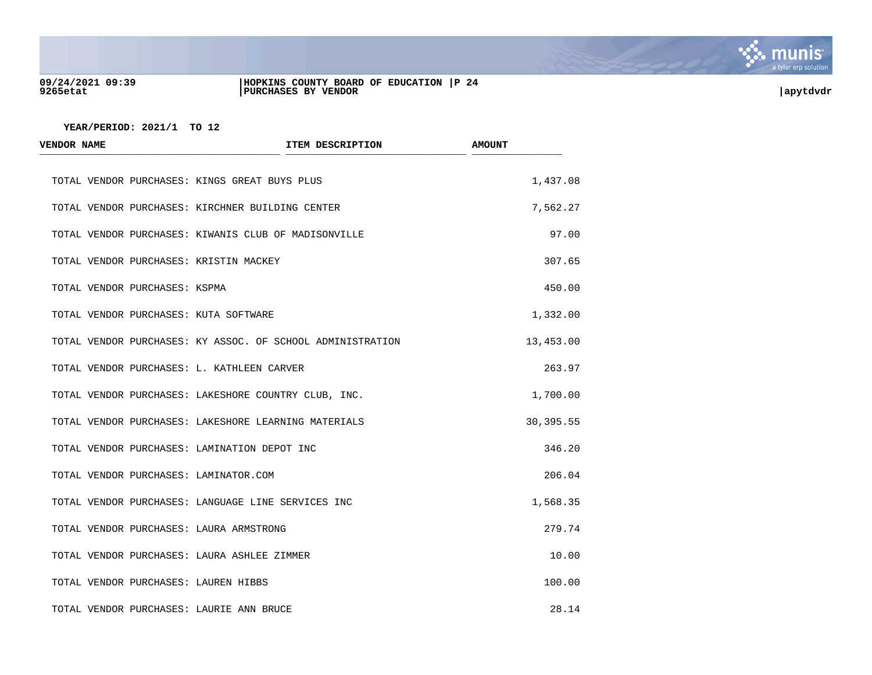

### **09/24/2021 09:39 |HOPKINS COUNTY BOARD OF EDUCATION |P 24 9265etat |PURCHASES BY VENDOR |apytdvdr**

| <b>VENDOR NAME</b>            | ITEM DESCRIPTION                                           | <b>AMOUNT</b> |
|-------------------------------|------------------------------------------------------------|---------------|
|                               | TOTAL VENDOR PURCHASES: KINGS GREAT BUYS PLUS              | 1,437.08      |
|                               | TOTAL VENDOR PURCHASES: KIRCHNER BUILDING CENTER           | 7,562.27      |
|                               | TOTAL VENDOR PURCHASES: KIWANIS CLUB OF MADISONVILLE       | 97.00         |
|                               | TOTAL VENDOR PURCHASES: KRISTIN MACKEY                     | 307.65        |
| TOTAL VENDOR PURCHASES: KSPMA |                                                            | 450.00        |
|                               | TOTAL VENDOR PURCHASES: KUTA SOFTWARE                      | 1,332.00      |
|                               | TOTAL VENDOR PURCHASES: KY ASSOC. OF SCHOOL ADMINISTRATION | 13,453.00     |
|                               | TOTAL VENDOR PURCHASES: L. KATHLEEN CARVER                 | 263.97        |
|                               | TOTAL VENDOR PURCHASES: LAKESHORE COUNTRY CLUB, INC.       | 1,700.00      |
|                               | TOTAL VENDOR PURCHASES: LAKESHORE LEARNING MATERIALS       | 30,395.55     |
|                               | TOTAL VENDOR PURCHASES: LAMINATION DEPOT INC               | 346.20        |
|                               | TOTAL VENDOR PURCHASES: LAMINATOR.COM                      | 206.04        |
|                               | TOTAL VENDOR PURCHASES: LANGUAGE LINE SERVICES INC         | 1,568.35      |
|                               | TOTAL VENDOR PURCHASES: LAURA ARMSTRONG                    | 279.74        |
|                               | TOTAL VENDOR PURCHASES: LAURA ASHLEE ZIMMER                | 10.00         |
|                               | TOTAL VENDOR PURCHASES: LAUREN HIBBS                       | 100.00        |
|                               | TOTAL VENDOR PURCHASES: LAURIE ANN BRUCE                   | 28.14         |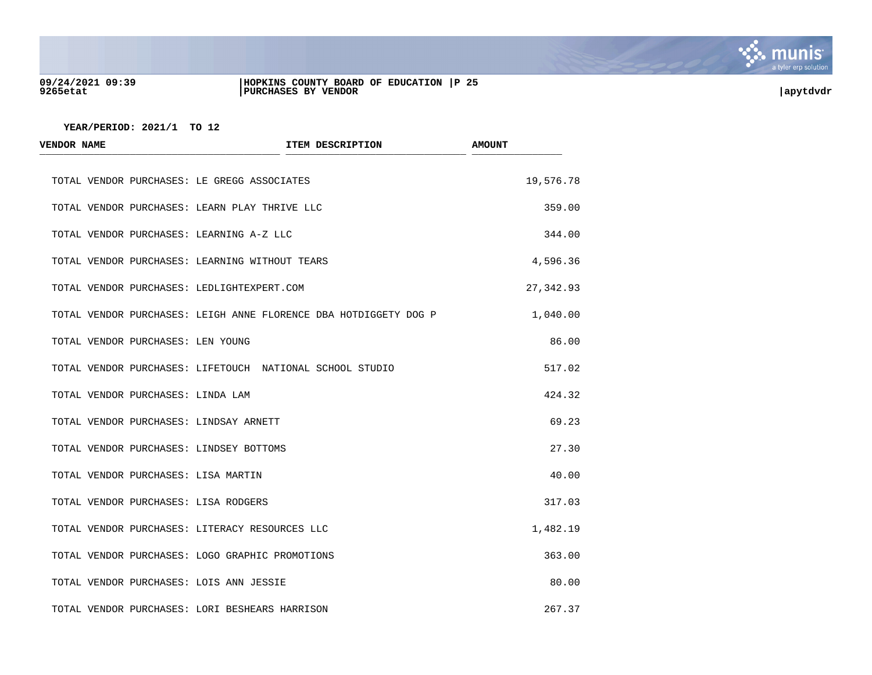

#### **09/24/2021 09:39 |HOPKINS COUNTY BOARD OF EDUCATION |P 25 9265etat |PURCHASES BY VENDOR |apytdvdr**

| <b>VENDOR NAME</b>                            | ITEM DESCRIPTION                                                 | <b>AMOUNT</b> |
|-----------------------------------------------|------------------------------------------------------------------|---------------|
| TOTAL VENDOR PURCHASES: LE GREGG ASSOCIATES   |                                                                  | 19,576.78     |
| TOTAL VENDOR PURCHASES: LEARN PLAY THRIVE LLC |                                                                  | 359.00        |
| TOTAL VENDOR PURCHASES: LEARNING A-Z LLC      |                                                                  | 344.00        |
|                                               | TOTAL VENDOR PURCHASES: LEARNING WITHOUT TEARS                   | 4,596.36      |
| TOTAL VENDOR PURCHASES: LEDLIGHTEXPERT.COM    |                                                                  | 27,342.93     |
|                                               | TOTAL VENDOR PURCHASES: LEIGH ANNE FLORENCE DBA HOTDIGGETY DOG P | 1,040.00      |
| TOTAL VENDOR PURCHASES: LEN YOUNG             |                                                                  | 86.00         |
|                                               | TOTAL VENDOR PURCHASES: LIFETOUCH NATIONAL SCHOOL STUDIO         | 517.02        |
| TOTAL VENDOR PURCHASES: LINDA LAM             |                                                                  | 424.32        |
| TOTAL VENDOR PURCHASES: LINDSAY ARNETT        |                                                                  | 69.23         |
| TOTAL VENDOR PURCHASES: LINDSEY BOTTOMS       |                                                                  | 27.30         |
| TOTAL VENDOR PURCHASES: LISA MARTIN           |                                                                  | 40.00         |
| TOTAL VENDOR PURCHASES: LISA RODGERS          |                                                                  | 317.03        |
|                                               | TOTAL VENDOR PURCHASES: LITERACY RESOURCES LLC                   | 1,482.19      |
|                                               | TOTAL VENDOR PURCHASES: LOGO GRAPHIC PROMOTIONS                  | 363.00        |
| TOTAL VENDOR PURCHASES: LOIS ANN JESSIE       |                                                                  | 80.00         |
|                                               | TOTAL VENDOR PURCHASES: LORI BESHEARS HARRISON                   | 267.37        |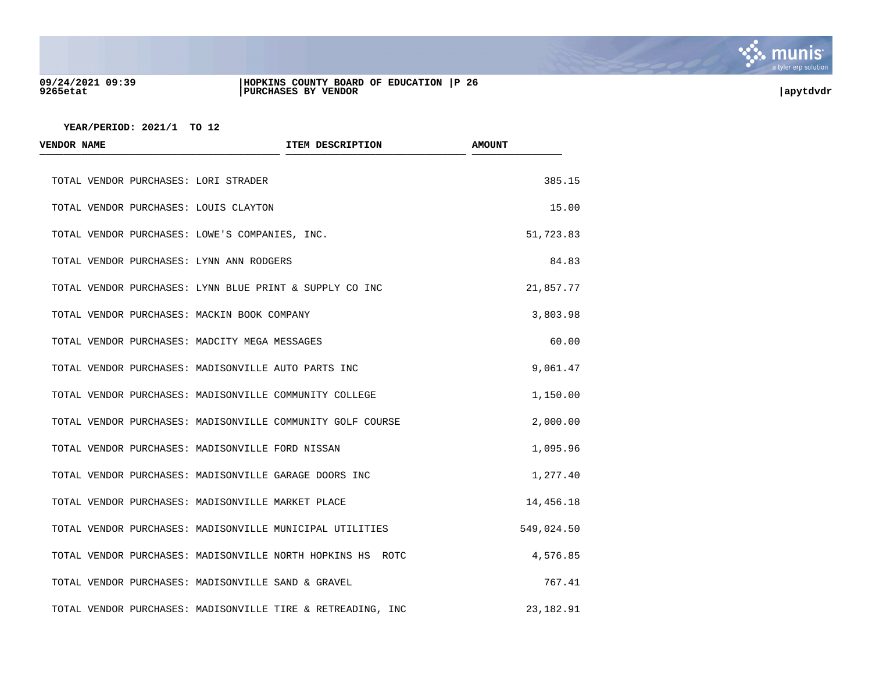

#### **09/24/2021 09:39 |HOPKINS COUNTY BOARD OF EDUCATION |P 26 9265etat |PURCHASES BY VENDOR |apytdvdr**

| <b>VENDOR NAME</b>                          | ITEM DESCRIPTION                                            | <b>AMOUNT</b> |
|---------------------------------------------|-------------------------------------------------------------|---------------|
| TOTAL VENDOR PURCHASES: LORI STRADER        |                                                             | 385.15        |
| TOTAL VENDOR PURCHASES: LOUIS CLAYTON       |                                                             | 15.00         |
|                                             | TOTAL VENDOR PURCHASES: LOWE'S COMPANIES, INC.              | 51,723.83     |
| TOTAL VENDOR PURCHASES: LYNN ANN RODGERS    |                                                             | 84.83         |
|                                             | TOTAL VENDOR PURCHASES: LYNN BLUE PRINT & SUPPLY CO INC     | 21,857.77     |
| TOTAL VENDOR PURCHASES: MACKIN BOOK COMPANY |                                                             | 3,803.98      |
|                                             | TOTAL VENDOR PURCHASES: MADCITY MEGA MESSAGES               | 60.00         |
|                                             | TOTAL VENDOR PURCHASES: MADISONVILLE AUTO PARTS INC         | 9,061.47      |
|                                             | TOTAL VENDOR PURCHASES: MADISONVILLE COMMUNITY COLLEGE      | 1,150.00      |
|                                             | TOTAL VENDOR PURCHASES: MADISONVILLE COMMUNITY GOLF COURSE  | 2,000.00      |
|                                             | TOTAL VENDOR PURCHASES: MADISONVILLE FORD NISSAN            | 1,095.96      |
|                                             | TOTAL VENDOR PURCHASES: MADISONVILLE GARAGE DOORS INC       | 1,277.40      |
|                                             | TOTAL VENDOR PURCHASES: MADISONVILLE MARKET PLACE           | 14,456.18     |
|                                             | TOTAL VENDOR PURCHASES: MADISONVILLE MUNICIPAL UTILITIES    | 549,024.50    |
|                                             | TOTAL VENDOR PURCHASES: MADISONVILLE NORTH HOPKINS HS ROTC  | 4,576.85      |
|                                             | TOTAL VENDOR PURCHASES: MADISONVILLE SAND & GRAVEL          | 767.41        |
|                                             | TOTAL VENDOR PURCHASES: MADISONVILLE TIRE & RETREADING, INC | 23, 182. 91   |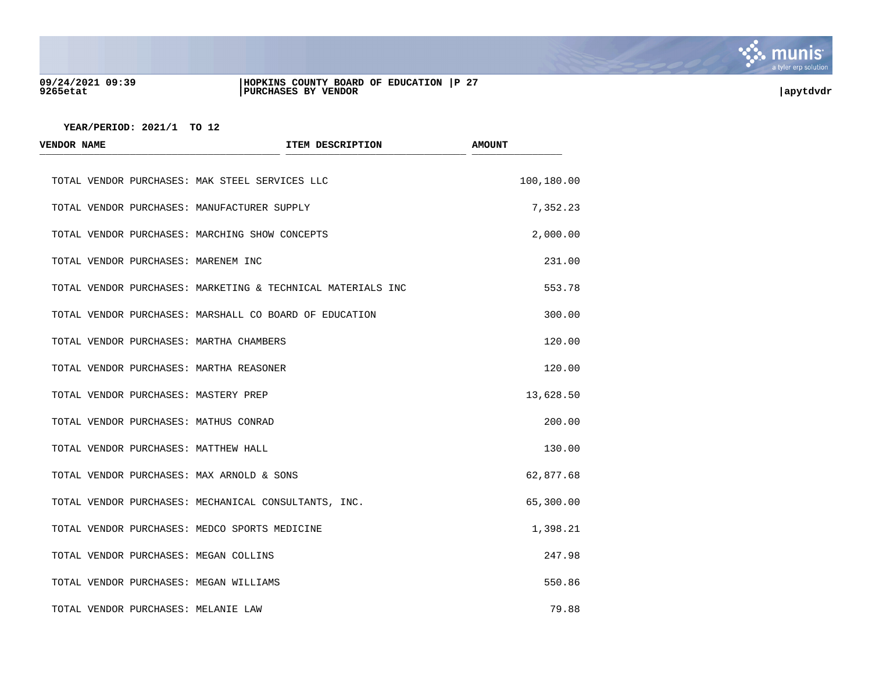

#### **09/24/2021 09:39 |HOPKINS COUNTY BOARD OF EDUCATION |P 27 9265etat |PURCHASES BY VENDOR |apytdvdr**

| <b>VENDOR NAME</b> |                                     | ITEM DESCRIPTION                                            | <b>AMOUNT</b> |
|--------------------|-------------------------------------|-------------------------------------------------------------|---------------|
|                    |                                     | TOTAL VENDOR PURCHASES: MAK STEEL SERVICES LLC              | 100,180.00    |
|                    |                                     | TOTAL VENDOR PURCHASES: MANUFACTURER SUPPLY                 | 7,352.23      |
|                    |                                     | TOTAL VENDOR PURCHASES: MARCHING SHOW CONCEPTS              | 2,000.00      |
|                    | TOTAL VENDOR PURCHASES: MARENEM INC |                                                             | 231.00        |
|                    |                                     | TOTAL VENDOR PURCHASES: MARKETING & TECHNICAL MATERIALS INC | 553.78        |
|                    |                                     | TOTAL VENDOR PURCHASES: MARSHALL CO BOARD OF EDUCATION      | 300.00        |
|                    |                                     | TOTAL VENDOR PURCHASES: MARTHA CHAMBERS                     | 120.00        |
|                    |                                     | TOTAL VENDOR PURCHASES: MARTHA REASONER                     | 120.00        |
|                    |                                     | TOTAL VENDOR PURCHASES: MASTERY PREP                        | 13,628.50     |
|                    |                                     | TOTAL VENDOR PURCHASES: MATHUS CONRAD                       | 200.00        |
|                    |                                     | TOTAL VENDOR PURCHASES: MATTHEW HALL                        | 130.00        |
|                    |                                     | TOTAL VENDOR PURCHASES: MAX ARNOLD & SONS                   | 62,877.68     |
|                    |                                     | TOTAL VENDOR PURCHASES: MECHANICAL CONSULTANTS, INC.        | 65,300.00     |
|                    |                                     | TOTAL VENDOR PURCHASES: MEDCO SPORTS MEDICINE               | 1,398.21      |
|                    |                                     | TOTAL VENDOR PURCHASES: MEGAN COLLINS                       | 247.98        |
|                    |                                     | TOTAL VENDOR PURCHASES: MEGAN WILLIAMS                      | 550.86        |
|                    | TOTAL VENDOR PURCHASES: MELANIE LAW |                                                             | 79.88         |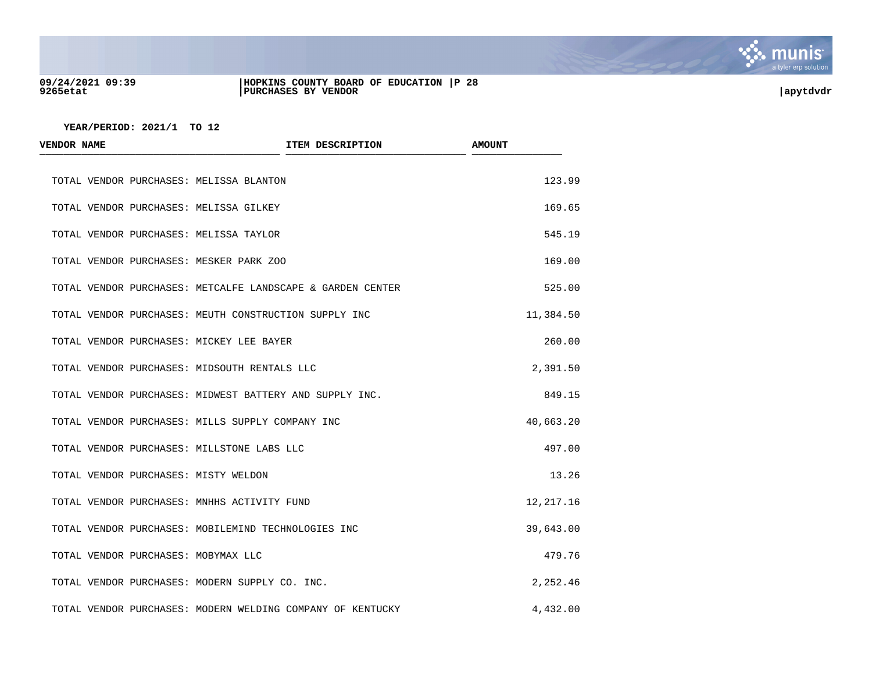

#### **09/24/2021 09:39 |HOPKINS COUNTY BOARD OF EDUCATION |P 28 9265etat |PURCHASES BY VENDOR |apytdvdr**

| <b>VENDOR NAME</b>                           | ITEM DESCRIPTION                                           | <b>AMOUNT</b> |
|----------------------------------------------|------------------------------------------------------------|---------------|
| TOTAL VENDOR PURCHASES: MELISSA BLANTON      |                                                            | 123.99        |
| TOTAL VENDOR PURCHASES: MELISSA GILKEY       |                                                            | 169.65        |
| TOTAL VENDOR PURCHASES: MELISSA TAYLOR       |                                                            | 545.19        |
| TOTAL VENDOR PURCHASES: MESKER PARK ZOO      |                                                            | 169.00        |
|                                              | TOTAL VENDOR PURCHASES: METCALFE LANDSCAPE & GARDEN CENTER | 525.00        |
|                                              | TOTAL VENDOR PURCHASES: MEUTH CONSTRUCTION SUPPLY INC      | 11,384.50     |
| TOTAL VENDOR PURCHASES: MICKEY LEE BAYER     |                                                            | 260.00        |
| TOTAL VENDOR PURCHASES: MIDSOUTH RENTALS LLC |                                                            | 2,391.50      |
|                                              | TOTAL VENDOR PURCHASES: MIDWEST BATTERY AND SUPPLY INC.    | 849.15        |
|                                              | TOTAL VENDOR PURCHASES: MILLS SUPPLY COMPANY INC           | 40,663.20     |
| TOTAL VENDOR PURCHASES: MILLSTONE LABS LLC   |                                                            | 497.00        |
| TOTAL VENDOR PURCHASES: MISTY WELDON         |                                                            | 13.26         |
| TOTAL VENDOR PURCHASES: MNHHS ACTIVITY FUND  |                                                            | 12, 217.16    |
|                                              | TOTAL VENDOR PURCHASES: MOBILEMIND TECHNOLOGIES INC        | 39,643.00     |
| TOTAL VENDOR PURCHASES: MOBYMAX LLC          |                                                            | 479.76        |
|                                              | TOTAL VENDOR PURCHASES: MODERN SUPPLY CO. INC.             | 2,252.46      |
|                                              | TOTAL VENDOR PURCHASES: MODERN WELDING COMPANY OF KENTUCKY | 4,432.00      |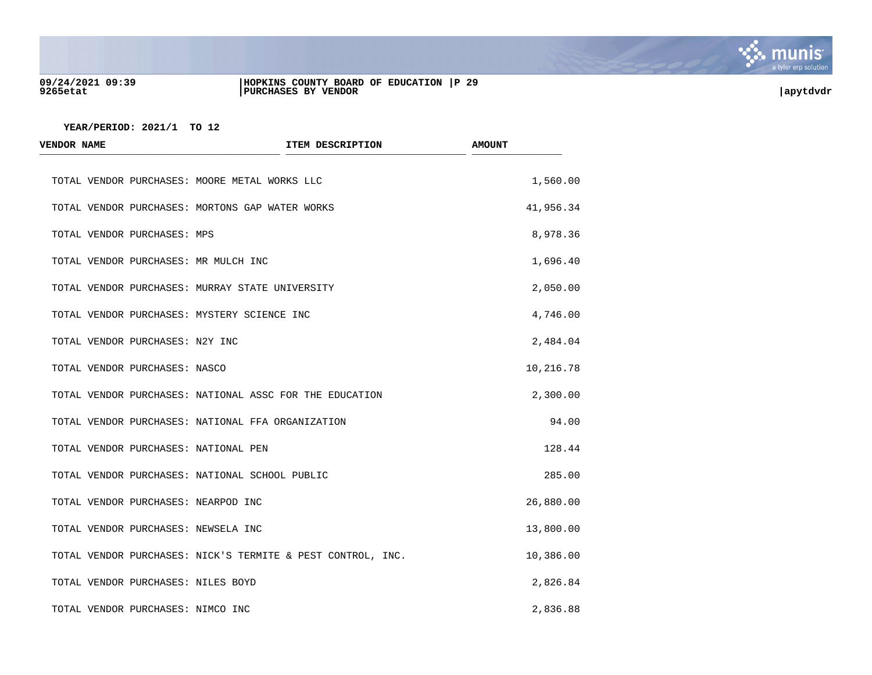

#### **09/24/2021 09:39 |HOPKINS COUNTY BOARD OF EDUCATION |P 29 9265etat |PURCHASES BY VENDOR |apytdvdr**



| <b>VENDOR NAME</b>                   | ITEM DESCRIPTION                                            | <b>AMOUNT</b> |
|--------------------------------------|-------------------------------------------------------------|---------------|
|                                      | TOTAL VENDOR PURCHASES: MOORE METAL WORKS LLC               | 1,560.00      |
|                                      | TOTAL VENDOR PURCHASES: MORTONS GAP WATER WORKS             | 41,956.34     |
| TOTAL VENDOR PURCHASES: MPS          |                                                             | 8,978.36      |
| TOTAL VENDOR PURCHASES: MR MULCH INC |                                                             | 1,696.40      |
|                                      | TOTAL VENDOR PURCHASES: MURRAY STATE UNIVERSITY             | 2,050.00      |
|                                      | TOTAL VENDOR PURCHASES: MYSTERY SCIENCE INC                 | 4,746.00      |
| TOTAL VENDOR PURCHASES: N2Y INC      |                                                             | 2,484.04      |
| TOTAL VENDOR PURCHASES: NASCO        |                                                             | 10,216.78     |
|                                      | TOTAL VENDOR PURCHASES: NATIONAL ASSC FOR THE EDUCATION     | 2,300.00      |
|                                      | TOTAL VENDOR PURCHASES: NATIONAL FFA ORGANIZATION           | 94.00         |
| TOTAL VENDOR PURCHASES: NATIONAL PEN |                                                             | 128.44        |
|                                      | TOTAL VENDOR PURCHASES: NATIONAL SCHOOL PUBLIC              | 285.00        |
| TOTAL VENDOR PURCHASES: NEARPOD INC  |                                                             | 26,880.00     |
| TOTAL VENDOR PURCHASES: NEWSELA INC  |                                                             | 13,800.00     |
|                                      | TOTAL VENDOR PURCHASES: NICK'S TERMITE & PEST CONTROL, INC. | 10,386.00     |
| TOTAL VENDOR PURCHASES: NILES BOYD   |                                                             | 2,826.84      |
| TOTAL VENDOR PURCHASES: NIMCO INC    |                                                             | 2,836.88      |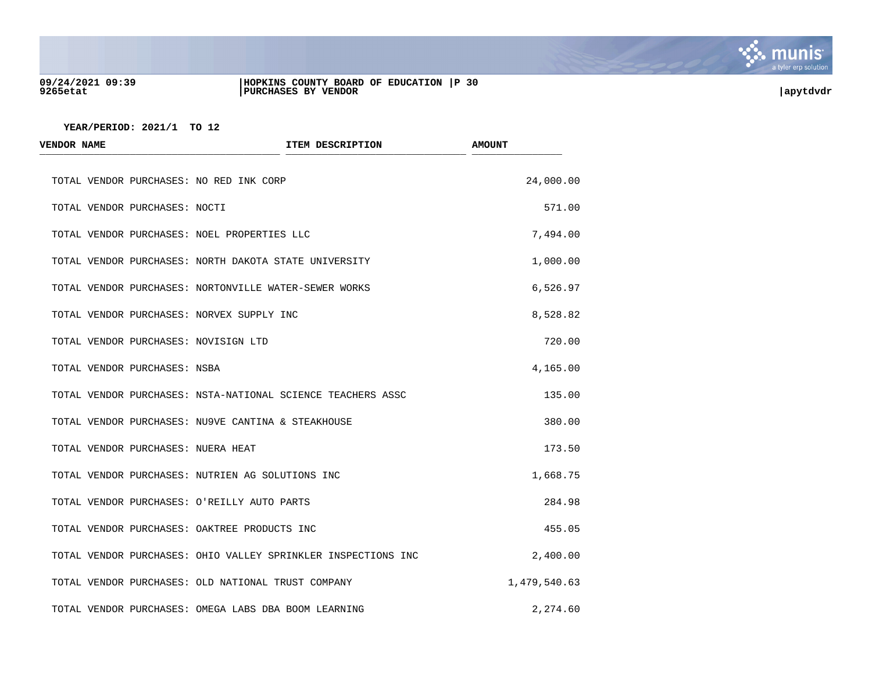

#### **09/24/2021 09:39 |HOPKINS COUNTY BOARD OF EDUCATION |P 30 9265etat |PURCHASES BY VENDOR |apytdvdr**

| <b>VENDOR NAME</b>                           | ITEM DESCRIPTION                                              | <b>AMOUNT</b> |
|----------------------------------------------|---------------------------------------------------------------|---------------|
| TOTAL VENDOR PURCHASES: NO RED INK CORP      |                                                               | 24,000.00     |
| TOTAL VENDOR PURCHASES: NOCTI                |                                                               | 571.00        |
| TOTAL VENDOR PURCHASES: NOEL PROPERTIES LLC  |                                                               | 7,494.00      |
|                                              | TOTAL VENDOR PURCHASES: NORTH DAKOTA STATE UNIVERSITY         | 1,000.00      |
|                                              | TOTAL VENDOR PURCHASES: NORTONVILLE WATER-SEWER WORKS         | 6,526.97      |
| TOTAL VENDOR PURCHASES: NORVEX SUPPLY INC    |                                                               | 8,528.82      |
| TOTAL VENDOR PURCHASES: NOVISIGN LTD         |                                                               | 720.00        |
| TOTAL VENDOR PURCHASES: NSBA                 |                                                               | 4,165.00      |
|                                              | TOTAL VENDOR PURCHASES: NSTA-NATIONAL SCIENCE TEACHERS ASSC   | 135.00        |
|                                              | TOTAL VENDOR PURCHASES: NU9VE CANTINA & STEAKHOUSE            | 380.00        |
| TOTAL VENDOR PURCHASES: NUERA HEAT           |                                                               | 173.50        |
|                                              | TOTAL VENDOR PURCHASES: NUTRIEN AG SOLUTIONS INC              | 1,668.75      |
| TOTAL VENDOR PURCHASES: O'REILLY AUTO PARTS  |                                                               | 284.98        |
| TOTAL VENDOR PURCHASES: OAKTREE PRODUCTS INC |                                                               | 455.05        |
|                                              | TOTAL VENDOR PURCHASES: OHIO VALLEY SPRINKLER INSPECTIONS INC | 2,400.00      |
|                                              | TOTAL VENDOR PURCHASES: OLD NATIONAL TRUST COMPANY            | 1,479,540.63  |
|                                              | TOTAL VENDOR PURCHASES: OMEGA LABS DBA BOOM LEARNING          | 2,274.60      |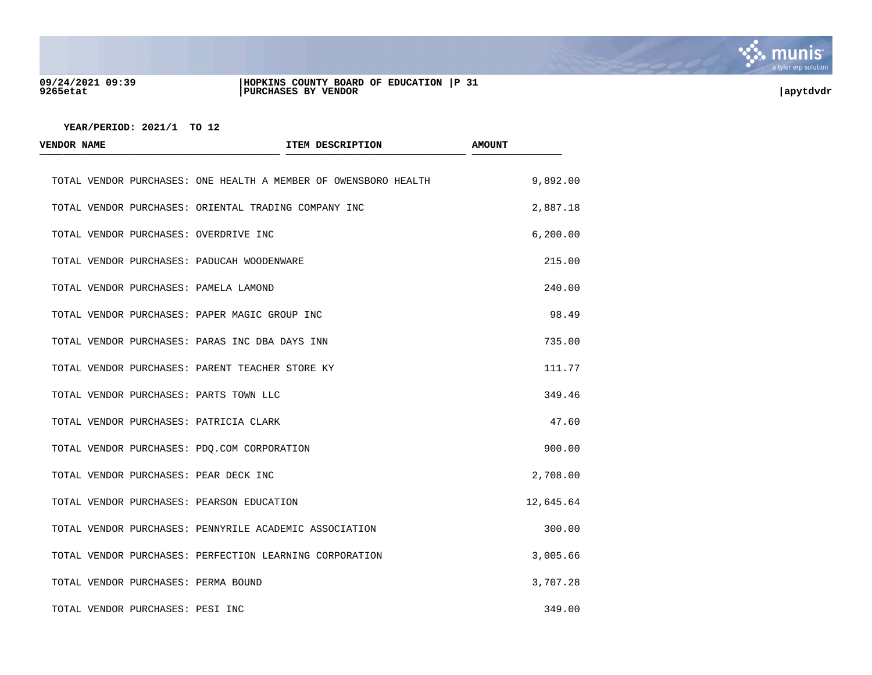

#### **09/24/2021 09:39 |HOPKINS COUNTY BOARD OF EDUCATION |P 31 9265etat |PURCHASES BY VENDOR |apytdvdr**

| VENDOR NAME                      |                                                         | ITEM DESCRIPTION                                                | <b>AMOUNT</b> |
|----------------------------------|---------------------------------------------------------|-----------------------------------------------------------------|---------------|
|                                  |                                                         | TOTAL VENDOR PURCHASES: ONE HEALTH A MEMBER OF OWENSBORO HEALTH | 9,892.00      |
|                                  | TOTAL VENDOR PURCHASES: ORIENTAL TRADING COMPANY INC    |                                                                 | 2,887.18      |
|                                  | TOTAL VENDOR PURCHASES: OVERDRIVE INC                   |                                                                 | 6, 200.00     |
|                                  | TOTAL VENDOR PURCHASES: PADUCAH WOODENWARE              |                                                                 | 215.00        |
|                                  | TOTAL VENDOR PURCHASES: PAMELA LAMOND                   |                                                                 | 240.00        |
|                                  | TOTAL VENDOR PURCHASES: PAPER MAGIC GROUP INC           |                                                                 | 98.49         |
|                                  | TOTAL VENDOR PURCHASES: PARAS INC DBA DAYS INN          |                                                                 | 735.00        |
|                                  | TOTAL VENDOR PURCHASES: PARENT TEACHER STORE KY         |                                                                 | 111.77        |
|                                  | TOTAL VENDOR PURCHASES: PARTS TOWN LLC                  |                                                                 | 349.46        |
|                                  | TOTAL VENDOR PURCHASES: PATRICIA CLARK                  |                                                                 | 47.60         |
|                                  | TOTAL VENDOR PURCHASES: PDQ.COM CORPORATION             |                                                                 | 900.00        |
|                                  | TOTAL VENDOR PURCHASES: PEAR DECK INC                   |                                                                 | 2,708.00      |
|                                  | TOTAL VENDOR PURCHASES: PEARSON EDUCATION               |                                                                 | 12,645.64     |
|                                  | TOTAL VENDOR PURCHASES: PENNYRILE ACADEMIC ASSOCIATION  |                                                                 | 300.00        |
|                                  | TOTAL VENDOR PURCHASES: PERFECTION LEARNING CORPORATION |                                                                 | 3,005.66      |
|                                  | TOTAL VENDOR PURCHASES: PERMA BOUND                     |                                                                 | 3,707.28      |
| TOTAL VENDOR PURCHASES: PESI INC |                                                         |                                                                 | 349.00        |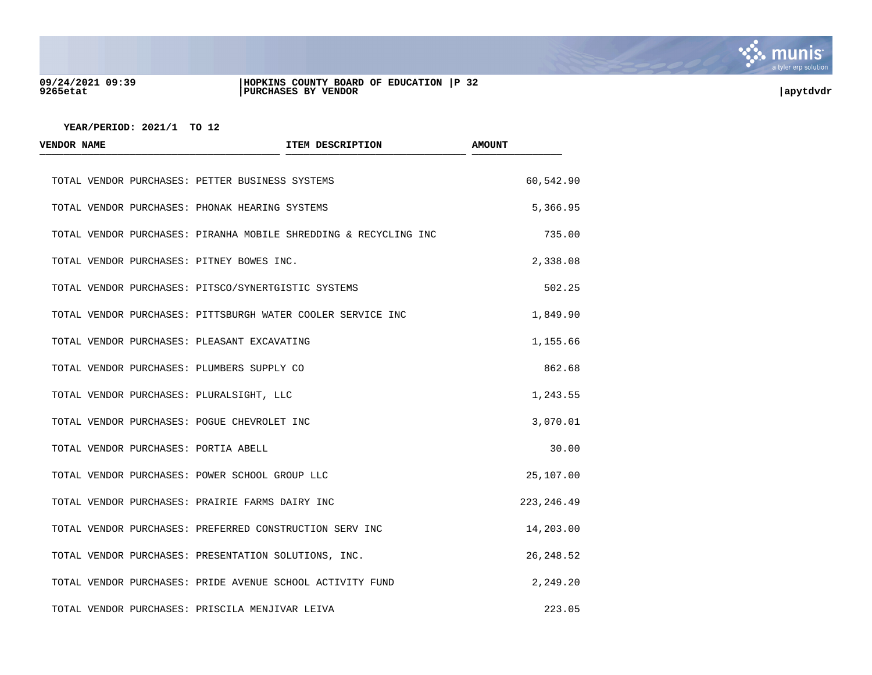

#### **09/24/2021 09:39 |HOPKINS COUNTY BOARD OF EDUCATION |P 32 9265etat |PURCHASES BY VENDOR |apytdvdr**

| <b>VENDOR NAME</b>                             | ITEM DESCRIPTION                                                 | <b>AMOUNT</b> |
|------------------------------------------------|------------------------------------------------------------------|---------------|
|                                                | TOTAL VENDOR PURCHASES: PETTER BUSINESS SYSTEMS                  | 60,542.90     |
| TOTAL VENDOR PURCHASES: PHONAK HEARING SYSTEMS |                                                                  | 5,366.95      |
|                                                | TOTAL VENDOR PURCHASES: PIRANHA MOBILE SHREDDING & RECYCLING INC | 735.00        |
| TOTAL VENDOR PURCHASES: PITNEY BOWES INC.      |                                                                  | 2,338.08      |
|                                                | TOTAL VENDOR PURCHASES: PITSCO/SYNERTGISTIC SYSTEMS              | 502.25        |
|                                                | TOTAL VENDOR PURCHASES: PITTSBURGH WATER COOLER SERVICE INC      | 1,849.90      |
| TOTAL VENDOR PURCHASES: PLEASANT EXCAVATING    |                                                                  | 1,155.66      |
| TOTAL VENDOR PURCHASES: PLUMBERS SUPPLY CO     |                                                                  | 862.68        |
| TOTAL VENDOR PURCHASES: PLURALSIGHT, LLC       |                                                                  | 1,243.55      |
| TOTAL VENDOR PURCHASES: POGUE CHEVROLET INC    |                                                                  | 3,070.01      |
| TOTAL VENDOR PURCHASES: PORTIA ABELL           |                                                                  | 30.00         |
| TOTAL VENDOR PURCHASES: POWER SCHOOL GROUP LLC |                                                                  | 25,107.00     |
|                                                | TOTAL VENDOR PURCHASES: PRAIRIE FARMS DAIRY INC                  | 223, 246.49   |
|                                                | TOTAL VENDOR PURCHASES: PREFERRED CONSTRUCTION SERV INC          | 14,203.00     |
|                                                | TOTAL VENDOR PURCHASES: PRESENTATION SOLUTIONS, INC.             | 26, 248.52    |
|                                                | TOTAL VENDOR PURCHASES: PRIDE AVENUE SCHOOL ACTIVITY FUND        | 2,249.20      |
|                                                | TOTAL VENDOR PURCHASES: PRISCILA MENJIVAR LEIVA                  | 223.05        |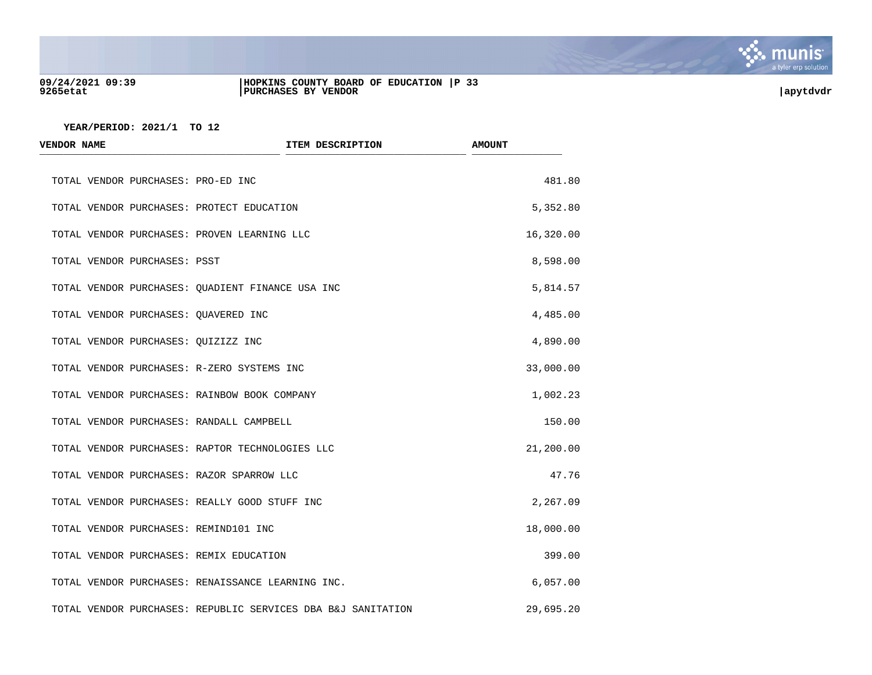

#### **09/24/2021 09:39 |HOPKINS COUNTY BOARD OF EDUCATION |P 33 9265etat |PURCHASES BY VENDOR |apytdvdr**

| <b>VENDOR NAME</b>                              | ITEM DESCRIPTION                                             | <b>AMOUNT</b> |
|-------------------------------------------------|--------------------------------------------------------------|---------------|
| TOTAL VENDOR PURCHASES: PRO-ED INC              |                                                              | 481.80        |
| TOTAL VENDOR PURCHASES: PROTECT EDUCATION       |                                                              | 5,352.80      |
| TOTAL VENDOR PURCHASES: PROVEN LEARNING LLC     |                                                              | 16,320.00     |
| TOTAL VENDOR PURCHASES: PSST                    |                                                              | 8,598.00      |
|                                                 | TOTAL VENDOR PURCHASES: QUADIENT FINANCE USA INC             | 5,814.57      |
| TOTAL VENDOR PURCHASES: OUAVERED INC            |                                                              | 4,485.00      |
| TOTAL VENDOR PURCHASES: OUIZIZZ INC             |                                                              | 4,890.00      |
| TOTAL VENDOR PURCHASES: R-ZERO SYSTEMS INC      |                                                              | 33,000.00     |
| TOTAL VENDOR PURCHASES: RAINBOW BOOK COMPANY    |                                                              | 1,002.23      |
| TOTAL VENDOR PURCHASES: RANDALL CAMPBELL        |                                                              | 150.00        |
| TOTAL VENDOR PURCHASES: RAPTOR TECHNOLOGIES LLC |                                                              | 21,200.00     |
| TOTAL VENDOR PURCHASES: RAZOR SPARROW LLC       |                                                              | 47.76         |
| TOTAL VENDOR PURCHASES: REALLY GOOD STUFF INC   |                                                              | 2,267.09      |
| TOTAL VENDOR PURCHASES: REMIND101 INC           |                                                              | 18,000.00     |
| TOTAL VENDOR PURCHASES: REMIX EDUCATION         |                                                              | 399.00        |
|                                                 | TOTAL VENDOR PURCHASES: RENAISSANCE LEARNING INC.            | 6,057.00      |
|                                                 | TOTAL VENDOR PURCHASES: REPUBLIC SERVICES DBA B&J SANITATION | 29,695.20     |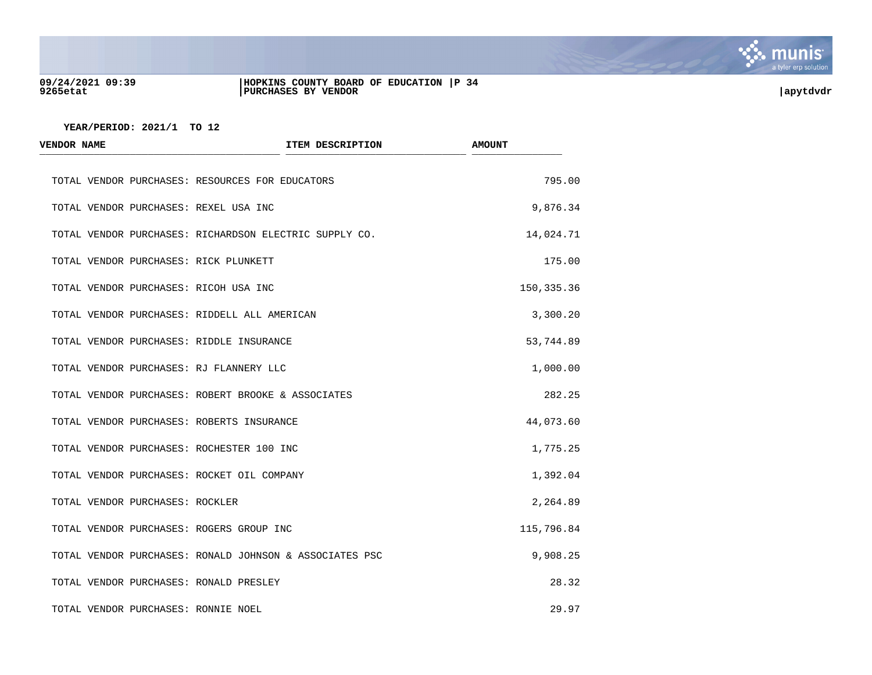

#### **09/24/2021 09:39 |HOPKINS COUNTY BOARD OF EDUCATION |P 34 9265etat |PURCHASES BY VENDOR |apytdvdr**

| <b>VENDOR NAME</b>                       | ITEM DESCRIPTION                                        | <b>AMOUNT</b> |
|------------------------------------------|---------------------------------------------------------|---------------|
|                                          | TOTAL VENDOR PURCHASES: RESOURCES FOR EDUCATORS         | 795.00        |
| TOTAL VENDOR PURCHASES: REXEL USA INC    |                                                         | 9,876.34      |
|                                          | TOTAL VENDOR PURCHASES: RICHARDSON ELECTRIC SUPPLY CO.  | 14,024.71     |
| TOTAL VENDOR PURCHASES: RICK PLUNKETT    |                                                         | 175.00        |
| TOTAL VENDOR PURCHASES: RICOH USA INC    |                                                         | 150, 335.36   |
|                                          | TOTAL VENDOR PURCHASES: RIDDELL ALL AMERICAN            | 3,300.20      |
| TOTAL VENDOR PURCHASES: RIDDLE INSURANCE |                                                         | 53,744.89     |
| TOTAL VENDOR PURCHASES: RJ FLANNERY LLC  |                                                         | 1,000.00      |
|                                          | TOTAL VENDOR PURCHASES: ROBERT BROOKE & ASSOCIATES      | 282.25        |
|                                          | TOTAL VENDOR PURCHASES: ROBERTS INSURANCE               | 44,073.60     |
|                                          | TOTAL VENDOR PURCHASES: ROCHESTER 100 INC               | 1,775.25      |
|                                          | TOTAL VENDOR PURCHASES: ROCKET OIL COMPANY              | 1,392.04      |
| TOTAL VENDOR PURCHASES: ROCKLER          |                                                         | 2,264.89      |
| TOTAL VENDOR PURCHASES: ROGERS GROUP INC |                                                         | 115,796.84    |
|                                          | TOTAL VENDOR PURCHASES: RONALD JOHNSON & ASSOCIATES PSC | 9,908.25      |
| TOTAL VENDOR PURCHASES: RONALD PRESLEY   |                                                         | 28.32         |
| TOTAL VENDOR PURCHASES: RONNIE NOEL      |                                                         | 29.97         |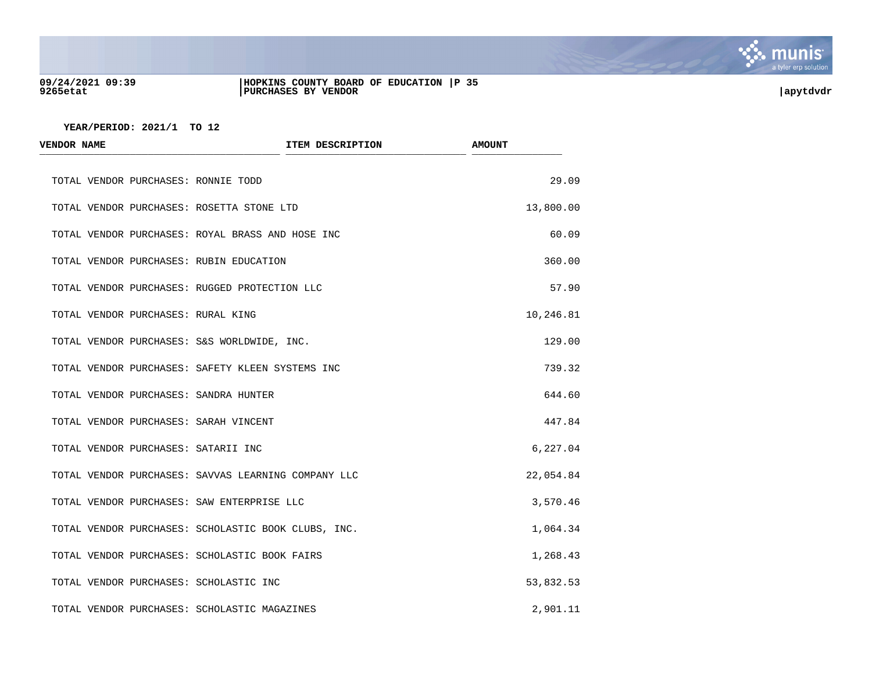

#### **09/24/2021 09:39 |HOPKINS COUNTY BOARD OF EDUCATION |P 35 9265etat |PURCHASES BY VENDOR |apytdvdr**

| <b>VENDOR NAME</b>                                  | ITEM DESCRIPTION | <b>AMOUNT</b> |
|-----------------------------------------------------|------------------|---------------|
| TOTAL VENDOR PURCHASES: RONNIE TODD                 |                  | 29.09         |
| TOTAL VENDOR PURCHASES: ROSETTA STONE LTD           |                  | 13,800.00     |
| TOTAL VENDOR PURCHASES: ROYAL BRASS AND HOSE INC    |                  | 60.09         |
| TOTAL VENDOR PURCHASES: RUBIN EDUCATION             |                  | 360.00        |
| TOTAL VENDOR PURCHASES: RUGGED PROTECTION LLC       |                  | 57.90         |
| TOTAL VENDOR PURCHASES: RURAL KING                  |                  | 10,246.81     |
| TOTAL VENDOR PURCHASES: S&S WORLDWIDE, INC.         |                  | 129.00        |
| TOTAL VENDOR PURCHASES: SAFETY KLEEN SYSTEMS INC    |                  | 739.32        |
| TOTAL VENDOR PURCHASES: SANDRA HUNTER               |                  | 644.60        |
| TOTAL VENDOR PURCHASES: SARAH VINCENT               |                  | 447.84        |
| TOTAL VENDOR PURCHASES: SATARII INC                 |                  | 6,227.04      |
| TOTAL VENDOR PURCHASES: SAVVAS LEARNING COMPANY LLC |                  | 22,054.84     |
| TOTAL VENDOR PURCHASES: SAW ENTERPRISE LLC          |                  | 3,570.46      |
| TOTAL VENDOR PURCHASES: SCHOLASTIC BOOK CLUBS, INC. |                  | 1,064.34      |
| TOTAL VENDOR PURCHASES: SCHOLASTIC BOOK FAIRS       |                  | 1,268.43      |
| TOTAL VENDOR PURCHASES: SCHOLASTIC INC              |                  | 53,832.53     |
| TOTAL VENDOR PURCHASES: SCHOLASTIC MAGAZINES        |                  | 2,901.11      |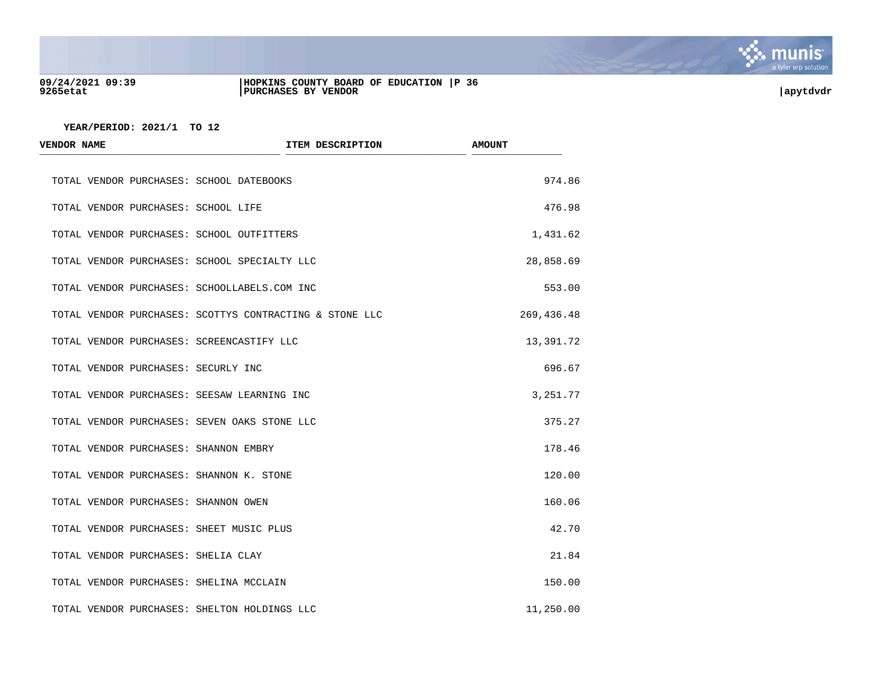

#### **09/24/2021 09:39 |HOPKINS COUNTY BOARD OF EDUCATION |P 36 9265etat |PURCHASES BY VENDOR |apytdvdr**

| <b>VENDOR NAME</b>                   | ITEM DESCRIPTION                                        | <b>AMOUNT</b> |
|--------------------------------------|---------------------------------------------------------|---------------|
|                                      | TOTAL VENDOR PURCHASES: SCHOOL DATEBOOKS                | 974.86        |
| TOTAL VENDOR PURCHASES: SCHOOL LIFE  |                                                         | 476.98        |
|                                      | TOTAL VENDOR PURCHASES: SCHOOL OUTFITTERS               | 1,431.62      |
|                                      | TOTAL VENDOR PURCHASES: SCHOOL SPECIALTY LLC            | 28,858.69     |
|                                      | TOTAL VENDOR PURCHASES: SCHOOLLABELS.COM INC            | 553.00        |
|                                      | TOTAL VENDOR PURCHASES: SCOTTYS CONTRACTING & STONE LLC | 269,436.48    |
|                                      | TOTAL VENDOR PURCHASES: SCREENCASTIFY LLC               | 13,391.72     |
| TOTAL VENDOR PURCHASES: SECURLY INC  |                                                         | 696.67        |
|                                      | TOTAL VENDOR PURCHASES: SEESAW LEARNING INC             | 3,251.77      |
|                                      | TOTAL VENDOR PURCHASES: SEVEN OAKS STONE LLC            | 375.27        |
|                                      | TOTAL VENDOR PURCHASES: SHANNON EMBRY                   | 178.46        |
|                                      | TOTAL VENDOR PURCHASES: SHANNON K. STONE                | 120.00        |
| TOTAL VENDOR PURCHASES: SHANNON OWEN |                                                         | 160.06        |
|                                      | TOTAL VENDOR PURCHASES: SHEET MUSIC PLUS                | 42.70         |
| TOTAL VENDOR PURCHASES: SHELIA CLAY  |                                                         | 21.84         |
|                                      | TOTAL VENDOR PURCHASES: SHELINA MCCLAIN                 | 150.00        |
|                                      | TOTAL VENDOR PURCHASES: SHELTON HOLDINGS LLC            | 11,250.00     |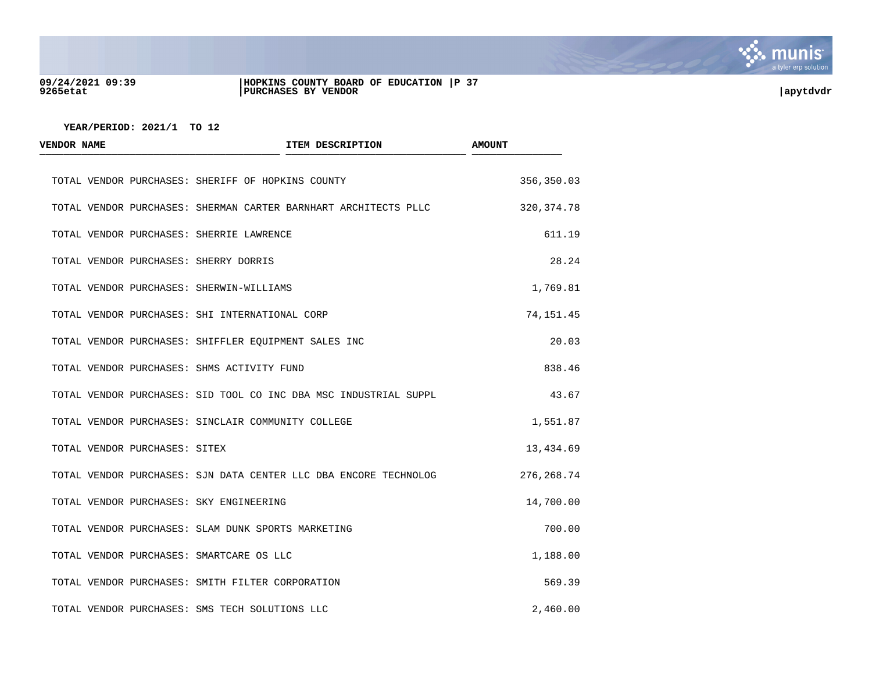

#### **09/24/2021 09:39 |HOPKINS COUNTY BOARD OF EDUCATION |P 37 9265etat |PURCHASES BY VENDOR |apytdvdr**



| <b>VENDOR NAME</b>                         | ITEM DESCRIPTION                                                 | <b>AMOUNT</b> |  |
|--------------------------------------------|------------------------------------------------------------------|---------------|--|
|                                            | TOTAL VENDOR PURCHASES: SHERIFF OF HOPKINS COUNTY                | 356,350.03    |  |
|                                            | TOTAL VENDOR PURCHASES: SHERMAN CARTER BARNHART ARCHITECTS PLLC  | 320, 374.78   |  |
| TOTAL VENDOR PURCHASES: SHERRIE LAWRENCE   |                                                                  | 611.19        |  |
| TOTAL VENDOR PURCHASES: SHERRY DORRIS      |                                                                  | 28.24         |  |
| TOTAL VENDOR PURCHASES: SHERWIN-WILLIAMS   |                                                                  | 1,769.81      |  |
|                                            | TOTAL VENDOR PURCHASES: SHI INTERNATIONAL CORP                   | 74, 151.45    |  |
|                                            | TOTAL VENDOR PURCHASES: SHIFFLER EQUIPMENT SALES INC             | 20.03         |  |
| TOTAL VENDOR PURCHASES: SHMS ACTIVITY FUND |                                                                  | 838.46        |  |
|                                            | TOTAL VENDOR PURCHASES: SID TOOL CO INC DBA MSC INDUSTRIAL SUPPL | 43.67         |  |
|                                            | TOTAL VENDOR PURCHASES: SINCLAIR COMMUNITY COLLEGE               | 1,551.87      |  |
| TOTAL VENDOR PURCHASES: SITEX              |                                                                  | 13,434.69     |  |
|                                            | TOTAL VENDOR PURCHASES: SJN DATA CENTER LLC DBA ENCORE TECHNOLOG | 276, 268.74   |  |
| TOTAL VENDOR PURCHASES: SKY ENGINEERING    |                                                                  | 14,700.00     |  |
|                                            | TOTAL VENDOR PURCHASES: SLAM DUNK SPORTS MARKETING               | 700.00        |  |
| TOTAL VENDOR PURCHASES: SMARTCARE OS LLC   |                                                                  | 1,188.00      |  |
|                                            | TOTAL VENDOR PURCHASES: SMITH FILTER CORPORATION                 | 569.39        |  |
|                                            | TOTAL VENDOR PURCHASES: SMS TECH SOLUTIONS LLC                   | 2,460.00      |  |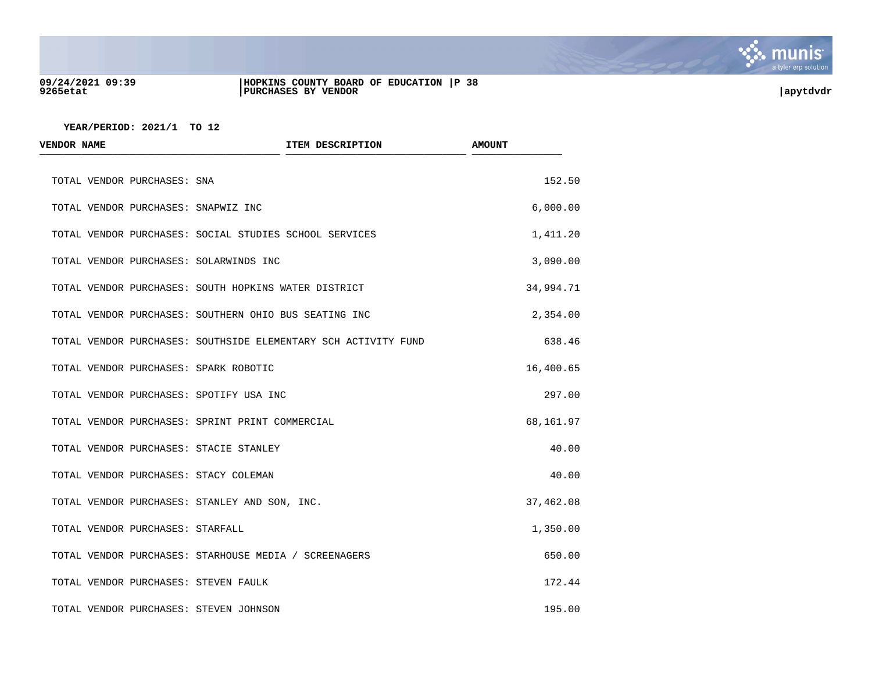

#### **09/24/2021 09:39 |HOPKINS COUNTY BOARD OF EDUCATION |P 38 9265etat |PURCHASES BY VENDOR |apytdvdr**

| <b>VENDOR NAME</b>                            | ITEM DESCRIPTION                                               | <b>AMOUNT</b> |
|-----------------------------------------------|----------------------------------------------------------------|---------------|
| TOTAL VENDOR PURCHASES: SNA                   |                                                                | 152.50        |
| TOTAL VENDOR PURCHASES: SNAPWIZ INC           |                                                                | 6,000.00      |
|                                               | TOTAL VENDOR PURCHASES: SOCIAL STUDIES SCHOOL SERVICES         | 1,411.20      |
| TOTAL VENDOR PURCHASES: SOLARWINDS INC        |                                                                | 3,090.00      |
|                                               | TOTAL VENDOR PURCHASES: SOUTH HOPKINS WATER DISTRICT           | 34,994.71     |
|                                               | TOTAL VENDOR PURCHASES: SOUTHERN OHIO BUS SEATING INC          | 2,354.00      |
|                                               | TOTAL VENDOR PURCHASES: SOUTHSIDE ELEMENTARY SCH ACTIVITY FUND | 638.46        |
| TOTAL VENDOR PURCHASES: SPARK ROBOTIC         |                                                                | 16,400.65     |
| TOTAL VENDOR PURCHASES: SPOTIFY USA INC       |                                                                | 297.00        |
|                                               | TOTAL VENDOR PURCHASES: SPRINT PRINT COMMERCIAL                | 68,161.97     |
| TOTAL VENDOR PURCHASES: STACIE STANLEY        |                                                                | 40.00         |
| TOTAL VENDOR PURCHASES: STACY COLEMAN         |                                                                | 40.00         |
| TOTAL VENDOR PURCHASES: STANLEY AND SON, INC. |                                                                | 37,462.08     |
| TOTAL VENDOR PURCHASES: STARFALL              |                                                                | 1,350.00      |
|                                               | TOTAL VENDOR PURCHASES: STARHOUSE MEDIA / SCREENAGERS          | 650.00        |
| TOTAL VENDOR PURCHASES: STEVEN FAULK          |                                                                | 172.44        |
| TOTAL VENDOR PURCHASES: STEVEN JOHNSON        |                                                                | 195.00        |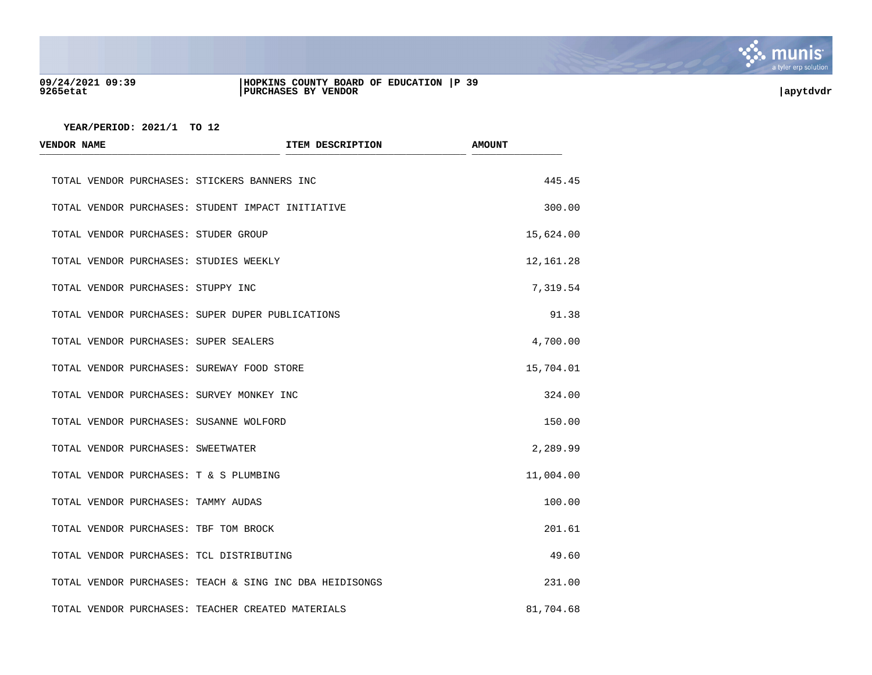

#### **09/24/2021 09:39 |HOPKINS COUNTY BOARD OF EDUCATION |P 39 9265etat |PURCHASES BY VENDOR |apytdvdr**

| <b>VENDOR NAME</b>                         | ITEM DESCRIPTION                                        | <b>AMOUNT</b> |
|--------------------------------------------|---------------------------------------------------------|---------------|
|                                            | TOTAL VENDOR PURCHASES: STICKERS BANNERS INC            | 445.45        |
|                                            | TOTAL VENDOR PURCHASES: STUDENT IMPACT INITIATIVE       | 300.00        |
| TOTAL VENDOR PURCHASES: STUDER GROUP       |                                                         | 15,624.00     |
| TOTAL VENDOR PURCHASES: STUDIES WEEKLY     |                                                         | 12,161.28     |
| TOTAL VENDOR PURCHASES: STUPPY INC         |                                                         | 7,319.54      |
|                                            | TOTAL VENDOR PURCHASES: SUPER DUPER PUBLICATIONS        | 91.38         |
| TOTAL VENDOR PURCHASES: SUPER SEALERS      |                                                         | 4,700.00      |
| TOTAL VENDOR PURCHASES: SUREWAY FOOD STORE |                                                         | 15,704.01     |
| TOTAL VENDOR PURCHASES: SURVEY MONKEY INC  |                                                         | 324.00        |
| TOTAL VENDOR PURCHASES: SUSANNE WOLFORD    |                                                         | 150.00        |
| TOTAL VENDOR PURCHASES: SWEETWATER         |                                                         | 2,289.99      |
| TOTAL VENDOR PURCHASES: T & S PLUMBING     |                                                         | 11,004.00     |
| TOTAL VENDOR PURCHASES: TAMMY AUDAS        |                                                         | 100.00        |
| TOTAL VENDOR PURCHASES: TBF TOM BROCK      |                                                         | 201.61        |
| TOTAL VENDOR PURCHASES: TCL DISTRIBUTING   |                                                         | 49.60         |
|                                            | TOTAL VENDOR PURCHASES: TEACH & SING INC DBA HEIDISONGS | 231.00        |
|                                            | TOTAL VENDOR PURCHASES: TEACHER CREATED MATERIALS       | 81,704.68     |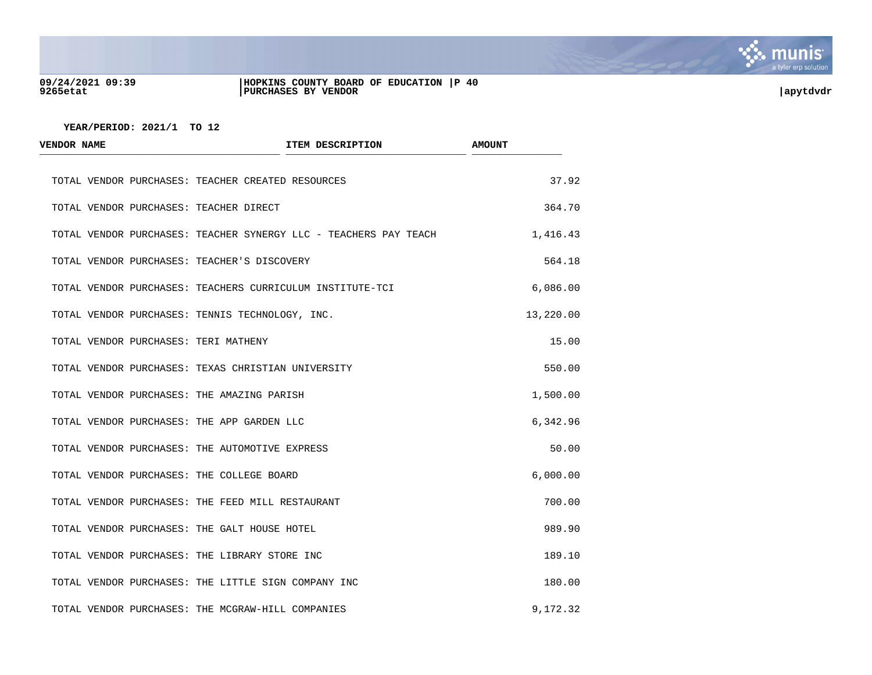

#### **09/24/2021 09:39 |HOPKINS COUNTY BOARD OF EDUCATION |P 40 9265etat |PURCHASES BY VENDOR |apytdvdr**

| <b>VENDOR NAME</b>                           | ITEM DESCRIPTION                                                 | <b>AMOUNT</b> |  |
|----------------------------------------------|------------------------------------------------------------------|---------------|--|
|                                              | TOTAL VENDOR PURCHASES: TEACHER CREATED RESOURCES                | 37.92         |  |
| TOTAL VENDOR PURCHASES: TEACHER DIRECT       |                                                                  | 364.70        |  |
|                                              | TOTAL VENDOR PURCHASES: TEACHER SYNERGY LLC - TEACHERS PAY TEACH | 1,416.43      |  |
| TOTAL VENDOR PURCHASES: TEACHER'S DISCOVERY  |                                                                  | 564.18        |  |
|                                              | TOTAL VENDOR PURCHASES: TEACHERS CURRICULUM INSTITUTE-TCI        | 6,086.00      |  |
|                                              | TOTAL VENDOR PURCHASES: TENNIS TECHNOLOGY, INC.                  | 13,220.00     |  |
| TOTAL VENDOR PURCHASES: TERI MATHENY         |                                                                  | 15.00         |  |
|                                              | TOTAL VENDOR PURCHASES: TEXAS CHRISTIAN UNIVERSITY               | 550.00        |  |
| TOTAL VENDOR PURCHASES: THE AMAZING PARISH   |                                                                  | 1,500.00      |  |
| TOTAL VENDOR PURCHASES: THE APP GARDEN LLC   |                                                                  | 6,342.96      |  |
|                                              | TOTAL VENDOR PURCHASES: THE AUTOMOTIVE EXPRESS                   | 50.00         |  |
| TOTAL VENDOR PURCHASES: THE COLLEGE BOARD    |                                                                  | 6,000.00      |  |
|                                              | TOTAL VENDOR PURCHASES: THE FEED MILL RESTAURANT                 | 700.00        |  |
| TOTAL VENDOR PURCHASES: THE GALT HOUSE HOTEL |                                                                  | 989.90        |  |
|                                              | TOTAL VENDOR PURCHASES: THE LIBRARY STORE INC                    | 189.10        |  |
|                                              | TOTAL VENDOR PURCHASES: THE LITTLE SIGN COMPANY INC              | 180.00        |  |
|                                              | TOTAL VENDOR PURCHASES: THE MCGRAW-HILL COMPANIES                | 9,172.32      |  |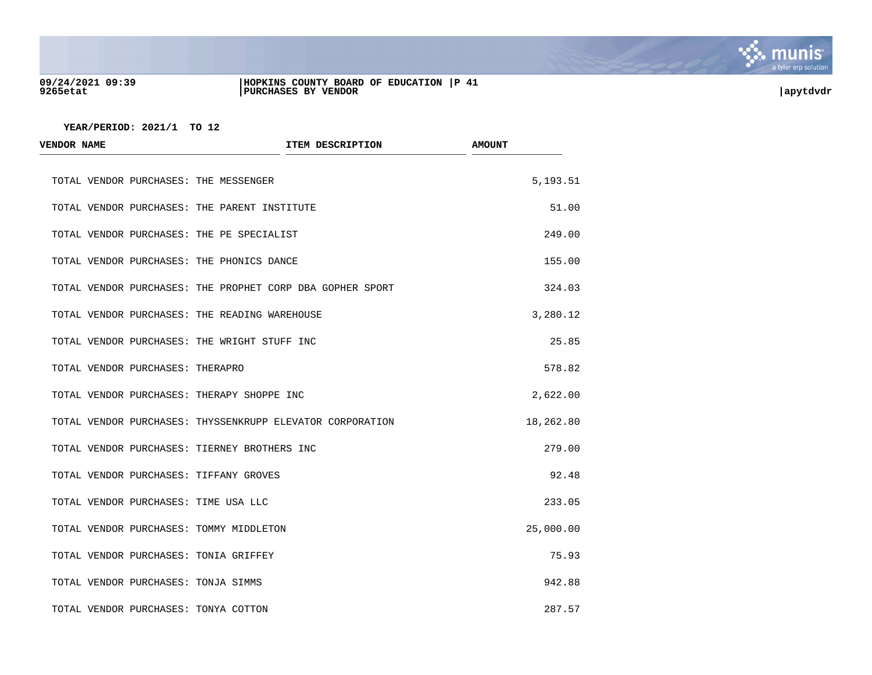

#### **09/24/2021 09:39 |HOPKINS COUNTY BOARD OF EDUCATION |P 41 9265etat |PURCHASES BY VENDOR |apytdvdr**

| <b>VENDOR NAME</b>                      | ITEM DESCRIPTION                                          | <b>AMOUNT</b> |
|-----------------------------------------|-----------------------------------------------------------|---------------|
| TOTAL VENDOR PURCHASES: THE MESSENGER   |                                                           | 5,193.51      |
|                                         | TOTAL VENDOR PURCHASES: THE PARENT INSTITUTE              | 51.00         |
|                                         | TOTAL VENDOR PURCHASES: THE PE SPECIALIST                 | 249.00        |
|                                         | TOTAL VENDOR PURCHASES: THE PHONICS DANCE                 | 155.00        |
|                                         | TOTAL VENDOR PURCHASES: THE PROPHET CORP DBA GOPHER SPORT | 324.03        |
|                                         | TOTAL VENDOR PURCHASES: THE READING WAREHOUSE             | 3,280.12      |
|                                         | TOTAL VENDOR PURCHASES: THE WRIGHT STUFF INC              | 25.85         |
| TOTAL VENDOR PURCHASES: THERAPRO        |                                                           | 578.82        |
|                                         | TOTAL VENDOR PURCHASES: THERAPY SHOPPE INC                | 2,622.00      |
|                                         | TOTAL VENDOR PURCHASES: THYSSENKRUPP ELEVATOR CORPORATION | 18,262.80     |
|                                         | TOTAL VENDOR PURCHASES: TIERNEY BROTHERS INC              | 279.00        |
| TOTAL VENDOR PURCHASES: TIFFANY GROVES  |                                                           | 92.48         |
| TOTAL VENDOR PURCHASES: TIME USA LLC    |                                                           | 233.05        |
| TOTAL VENDOR PURCHASES: TOMMY MIDDLETON |                                                           | 25,000.00     |
| TOTAL VENDOR PURCHASES: TONIA GRIFFEY   |                                                           | 75.93         |
| TOTAL VENDOR PURCHASES: TONJA SIMMS     |                                                           | 942.88        |
| TOTAL VENDOR PURCHASES: TONYA COTTON    |                                                           | 287.57        |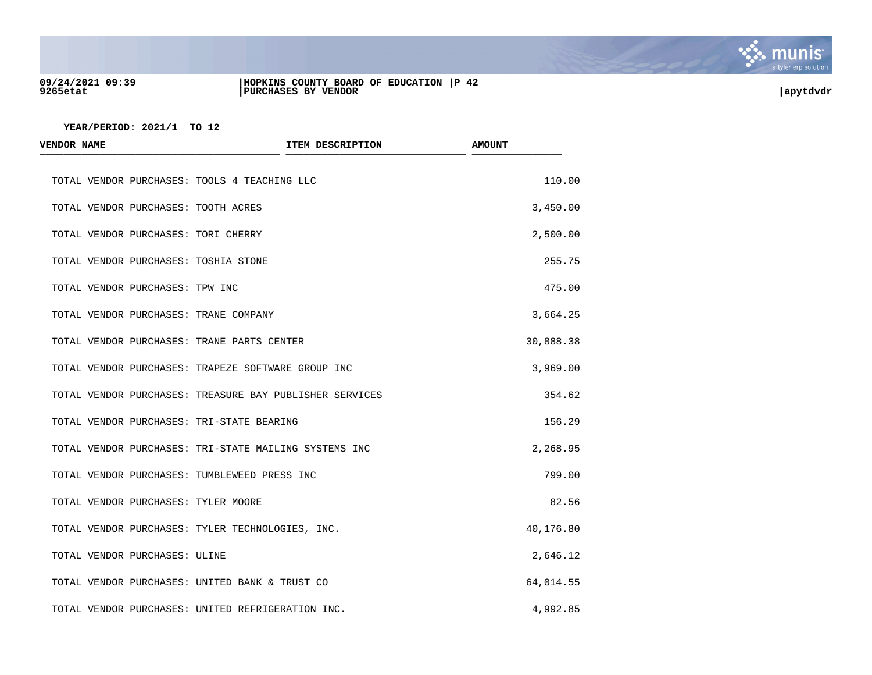

#### **09/24/2021 09:39 |HOPKINS COUNTY BOARD OF EDUCATION |P 42 9265etat |PURCHASES BY VENDOR |apytdvdr**

| <b>VENDOR NAME</b>                    | ITEM DESCRIPTION                                        | <b>AMOUNT</b> |
|---------------------------------------|---------------------------------------------------------|---------------|
|                                       | TOTAL VENDOR PURCHASES: TOOLS 4 TEACHING LLC            | 110.00        |
| TOTAL VENDOR PURCHASES: TOOTH ACRES   |                                                         | 3,450.00      |
| TOTAL VENDOR PURCHASES: TORI CHERRY   |                                                         | 2,500.00      |
| TOTAL VENDOR PURCHASES: TOSHIA STONE  |                                                         | 255.75        |
| TOTAL VENDOR PURCHASES: TPW INC       |                                                         | 475.00        |
| TOTAL VENDOR PURCHASES: TRANE COMPANY |                                                         | 3,664.25      |
|                                       | TOTAL VENDOR PURCHASES: TRANE PARTS CENTER              | 30,888.38     |
|                                       | TOTAL VENDOR PURCHASES: TRAPEZE SOFTWARE GROUP INC      | 3,969.00      |
|                                       | TOTAL VENDOR PURCHASES: TREASURE BAY PUBLISHER SERVICES | 354.62        |
|                                       | TOTAL VENDOR PURCHASES: TRI-STATE BEARING               | 156.29        |
|                                       | TOTAL VENDOR PURCHASES: TRI-STATE MAILING SYSTEMS INC   | 2,268.95      |
|                                       | TOTAL VENDOR PURCHASES: TUMBLEWEED PRESS INC            | 799.00        |
| TOTAL VENDOR PURCHASES: TYLER MOORE   |                                                         | 82.56         |
|                                       | TOTAL VENDOR PURCHASES: TYLER TECHNOLOGIES, INC.        | 40,176.80     |
| TOTAL VENDOR PURCHASES: ULINE         |                                                         | 2,646.12      |
|                                       | TOTAL VENDOR PURCHASES: UNITED BANK & TRUST CO          | 64,014.55     |
|                                       | TOTAL VENDOR PURCHASES: UNITED REFRIGERATION INC.       | 4,992.85      |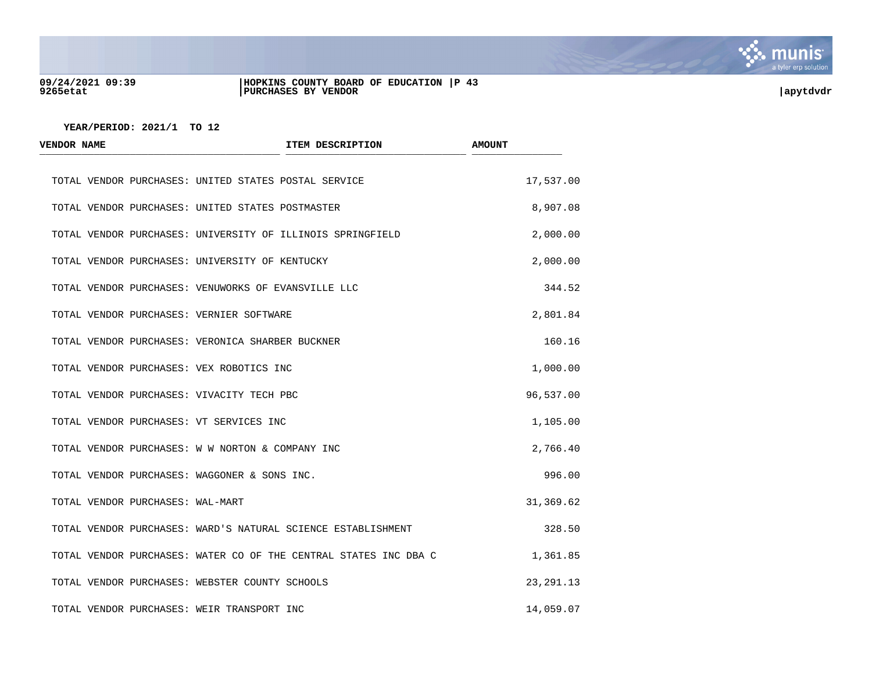

#### **09/24/2021 09:39 |HOPKINS COUNTY BOARD OF EDUCATION |P 43 9265etat |PURCHASES BY VENDOR |apytdvdr**



| <b>VENDOR NAME</b>                             | ITEM DESCRIPTION                                                 | <b>AMOUNT</b> |
|------------------------------------------------|------------------------------------------------------------------|---------------|
|                                                | TOTAL VENDOR PURCHASES: UNITED STATES POSTAL SERVICE             | 17,537.00     |
|                                                | TOTAL VENDOR PURCHASES: UNITED STATES POSTMASTER                 | 8,907.08      |
|                                                | TOTAL VENDOR PURCHASES: UNIVERSITY OF ILLINOIS SPRINGFIELD       | 2,000.00      |
| TOTAL VENDOR PURCHASES: UNIVERSITY OF KENTUCKY |                                                                  | 2,000.00      |
|                                                | TOTAL VENDOR PURCHASES: VENUWORKS OF EVANSVILLE LLC              | 344.52        |
| TOTAL VENDOR PURCHASES: VERNIER SOFTWARE       |                                                                  | 2,801.84      |
|                                                | TOTAL VENDOR PURCHASES: VERONICA SHARBER BUCKNER                 | 160.16        |
| TOTAL VENDOR PURCHASES: VEX ROBOTICS INC       |                                                                  | 1,000.00      |
| TOTAL VENDOR PURCHASES: VIVACITY TECH PBC      |                                                                  | 96,537.00     |
| TOTAL VENDOR PURCHASES: VT SERVICES INC        |                                                                  | 1,105.00      |
|                                                | TOTAL VENDOR PURCHASES: W W NORTON & COMPANY INC                 | 2,766.40      |
| TOTAL VENDOR PURCHASES: WAGGONER & SONS INC.   |                                                                  | 996.00        |
| TOTAL VENDOR PURCHASES: WAL-MART               |                                                                  | 31,369.62     |
|                                                | TOTAL VENDOR PURCHASES: WARD'S NATURAL SCIENCE ESTABLISHMENT     | 328.50        |
|                                                | TOTAL VENDOR PURCHASES: WATER CO OF THE CENTRAL STATES INC DBA C | 1,361.85      |
| TOTAL VENDOR PURCHASES: WEBSTER COUNTY SCHOOLS |                                                                  | 23, 291. 13   |
| TOTAL VENDOR PURCHASES: WEIR TRANSPORT INC     |                                                                  | 14,059.07     |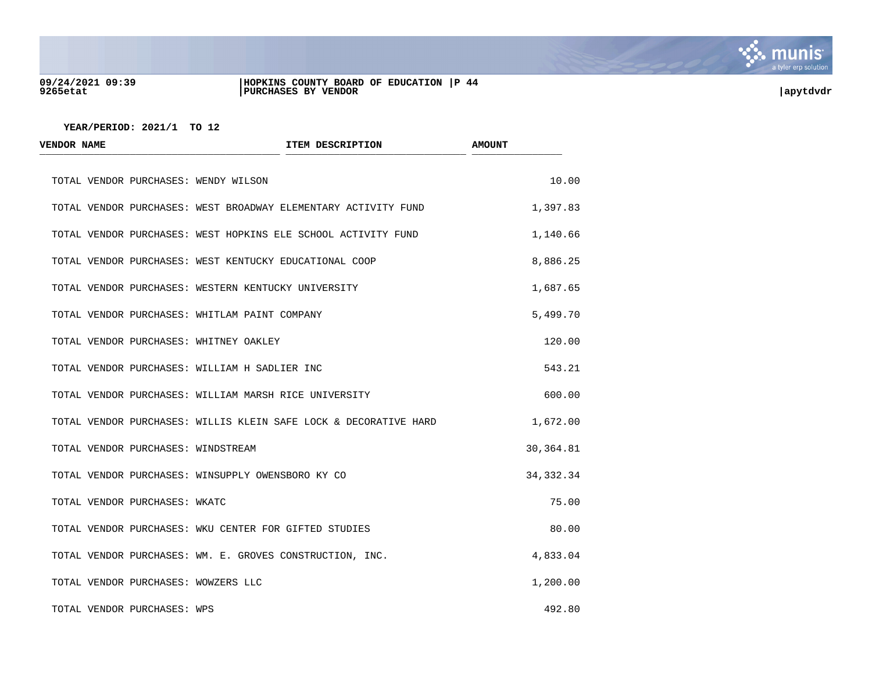

#### **09/24/2021 09:39 |HOPKINS COUNTY BOARD OF EDUCATION |P 44 9265etat |PURCHASES BY VENDOR |apytdvdr**

| <b>VENDOR NAME</b>                            | ITEM DESCRIPTION                                                 | <b>AMOUNT</b> |
|-----------------------------------------------|------------------------------------------------------------------|---------------|
| TOTAL VENDOR PURCHASES: WENDY WILSON          |                                                                  | 10.00         |
|                                               | TOTAL VENDOR PURCHASES: WEST BROADWAY ELEMENTARY ACTIVITY FUND   | 1,397.83      |
|                                               | TOTAL VENDOR PURCHASES: WEST HOPKINS ELE SCHOOL ACTIVITY FUND    | 1,140.66      |
|                                               | TOTAL VENDOR PURCHASES: WEST KENTUCKY EDUCATIONAL COOP           | 8,886.25      |
|                                               | TOTAL VENDOR PURCHASES: WESTERN KENTUCKY UNIVERSITY              | 1,687.65      |
| TOTAL VENDOR PURCHASES: WHITLAM PAINT COMPANY |                                                                  | 5,499.70      |
| TOTAL VENDOR PURCHASES: WHITNEY OAKLEY        |                                                                  | 120.00        |
| TOTAL VENDOR PURCHASES: WILLIAM H SADLIER INC |                                                                  | 543.21        |
|                                               | TOTAL VENDOR PURCHASES: WILLIAM MARSH RICE UNIVERSITY            | 600.00        |
|                                               | TOTAL VENDOR PURCHASES: WILLIS KLEIN SAFE LOCK & DECORATIVE HARD | 1,672.00      |
| TOTAL VENDOR PURCHASES: WINDSTREAM            |                                                                  | 30,364.81     |
|                                               | TOTAL VENDOR PURCHASES: WINSUPPLY OWENSBORO KY CO                | 34, 332.34    |
| TOTAL VENDOR PURCHASES: WKATC                 |                                                                  | 75.00         |
|                                               | TOTAL VENDOR PURCHASES: WKU CENTER FOR GIFTED STUDIES            | 80.00         |
|                                               | TOTAL VENDOR PURCHASES: WM. E. GROVES CONSTRUCTION, INC.         | 4,833.04      |
| TOTAL VENDOR PURCHASES: WOWZERS LLC           |                                                                  | 1,200.00      |
| TOTAL VENDOR PURCHASES: WPS                   |                                                                  | 492.80        |